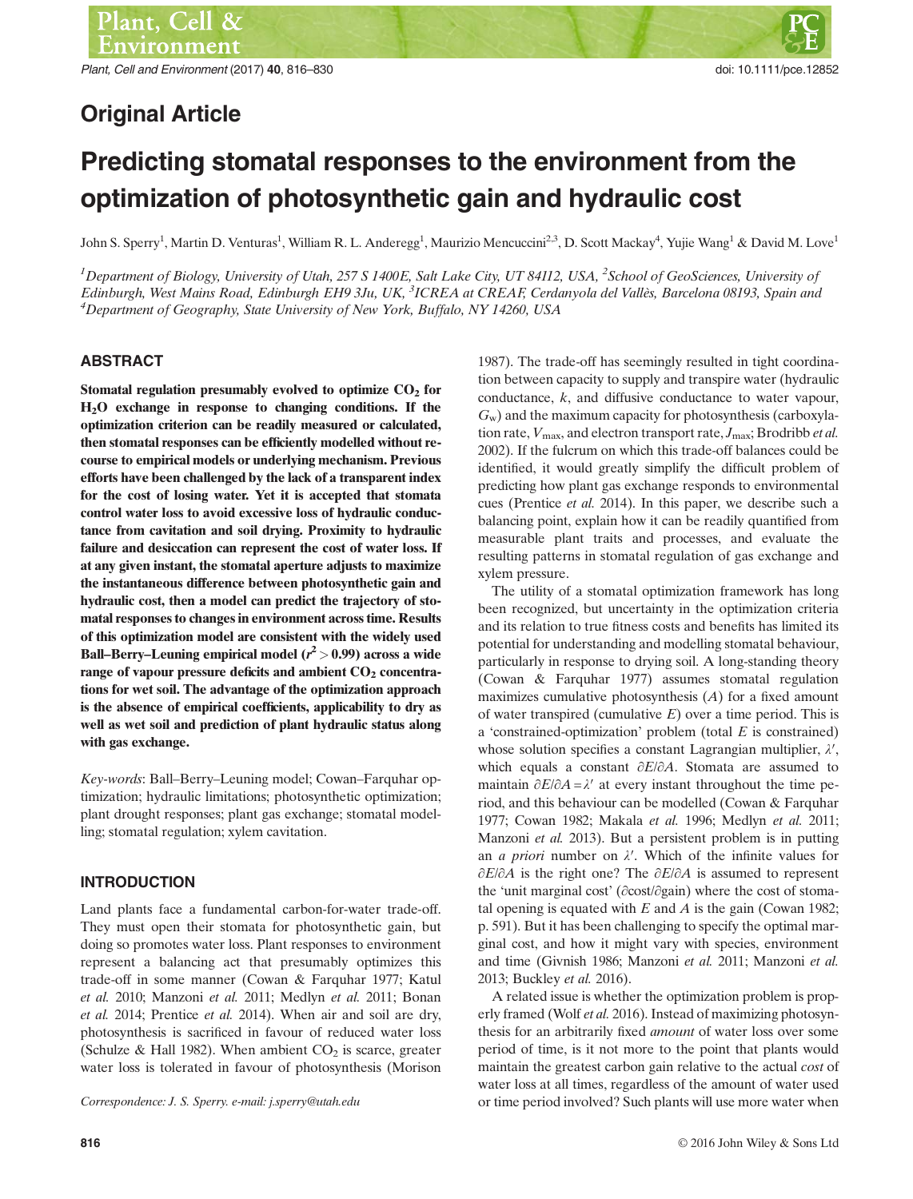# Original Article

# Predicting stomatal responses to the environment from the optimization of photosynthetic gain and hydraulic cost

John S. Sperry<sup>1</sup>, Martin D. Venturas<sup>1</sup>, William R. L. Anderegg<sup>1</sup>, Maurizio Mencuccini<sup>2,3</sup>, D. Scott Mackay<sup>4</sup>, Yujie Wang<sup>1</sup> & David M. Love<sup>1</sup>

<sup>1</sup>Department of Biology, University of Utah, 257 S 1400E, Salt Lake City, UT 84112, USA, <sup>2</sup>School of GeoSciences, University of Edinburgh, West Mains Road, Edinburgh EH9 3Ju, UK, <sup>3</sup>ICREA at CREAF, Cerdanyola del Vallès, Barcelona 08193, Spain and<br><sup>4</sup>Department of Geography, State University of New York, Buffalo, NV 14260, USA <sup>4</sup>Department of Geography, State University of New York, Buffalo, NY 14260, USA

# ABSTRACT

Stomatal regulation presumably evolved to optimize  $CO<sub>2</sub>$  for H2O exchange in response to changing conditions. If the optimization criterion can be readily measured or calculated, then stomatal responses can be efficiently modelled without recourse to empirical models or underlying mechanism. Previous efforts have been challenged by the lack of a transparent index for the cost of losing water. Yet it is accepted that stomata control water loss to avoid excessive loss of hydraulic conductance from cavitation and soil drying. Proximity to hydraulic failure and desiccation can represent the cost of water loss. If at any given instant, the stomatal aperture adjusts to maximize the instantaneous difference between photosynthetic gain and hydraulic cost, then a model can predict the trajectory of stomatal responses to changes in environment across time. Results of this optimization model are consistent with the widely used Ball–Berry–Leuning empirical model ( $r^2$  > 0.99) across a wide range of vapour pressure deficits and ambient  $CO<sub>2</sub>$  concentrations for wet soil. The advantage of the optimization approach is the absence of empirical coefficients, applicability to dry as well as wet soil and prediction of plant hydraulic status along with gas exchange.

Key-words: Ball–Berry–Leuning model; Cowan–Farquhar optimization; hydraulic limitations; photosynthetic optimization; plant drought responses; plant gas exchange; stomatal modelling; stomatal regulation; xylem cavitation.

# INTRODUCTION

Land plants face a fundamental carbon-for-water trade-off. They must open their stomata for photosynthetic gain, but doing so promotes water loss. Plant responses to environment represent a balancing act that presumably optimizes this trade-off in some manner (Cowan & Farquhar 1977; Katul et al. 2010; Manzoni et al. 2011; Medlyn et al. 2011; Bonan et al. 2014; Prentice et al. 2014). When air and soil are dry, photosynthesis is sacrificed in favour of reduced water loss (Schulze & Hall 1982). When ambient  $CO<sub>2</sub>$  is scarce, greater water loss is tolerated in favour of photosynthesis (Morison

1987). The trade-off has seemingly resulted in tight coordination between capacity to supply and transpire water (hydraulic conductance, k, and diffusive conductance to water vapour,  $G_w$ ) and the maximum capacity for photosynthesis (carboxylation rate,  $V_{\text{max}}$ , and electron transport rate,  $J_{\text{max}}$ ; Brodribb *et al.* 2002). If the fulcrum on which this trade-off balances could be identified, it would greatly simplify the difficult problem of predicting how plant gas exchange responds to environmental cues (Prentice et al. 2014). In this paper, we describe such a balancing point, explain how it can be readily quantified from measurable plant traits and processes, and evaluate the resulting patterns in stomatal regulation of gas exchange and xylem pressure.

The utility of a stomatal optimization framework has long been recognized, but uncertainty in the optimization criteria and its relation to true fitness costs and benefits has limited its potential for understanding and modelling stomatal behaviour, particularly in response to drying soil. A long-standing theory (Cowan & Farquhar 1977) assumes stomatal regulation maximizes cumulative photosynthesis  $(A)$  for a fixed amount of water transpired (cumulative  $E$ ) over a time period. This is a 'constrained-optimization' problem (total  $E$  is constrained) whose solution specifies a constant Lagrangian multiplier,  $\lambda'$ , which equals a constant ∂E/∂A. Stomata are assumed to maintain  $\partial E/\partial A = \lambda'$  at every instant throughout the time period, and this behaviour can be modelled (Cowan & Farquhar 1977; Cowan 1982; Makala et al. 1996; Medlyn et al. 2011; Manzoni et al. 2013). But a persistent problem is in putting an *a priori* number on  $\lambda'$ . Which of the infinite values for ∂E/∂A is the right one? The ∂E/∂A is assumed to represent the 'unit marginal cost' (∂cost/∂gain) where the cost of stomatal opening is equated with  $E$  and  $A$  is the gain (Cowan 1982; p. 591). But it has been challenging to specify the optimal marginal cost, and how it might vary with species, environment and time (Givnish 1986; Manzoni et al. 2011; Manzoni et al. 2013; Buckley et al. 2016).

A related issue is whether the optimization problem is properly framed (Wolf et al. 2016). Instead of maximizing photosynthesis for an arbitrarily fixed amount of water loss over some period of time, is it not more to the point that plants would maintain the greatest carbon gain relative to the actual cost of water loss at all times, regardless of the amount of water used Correspondence: J. S. Sperry. e-mail: j.sperry@utah.edu or time period involved? Such plants will use more water when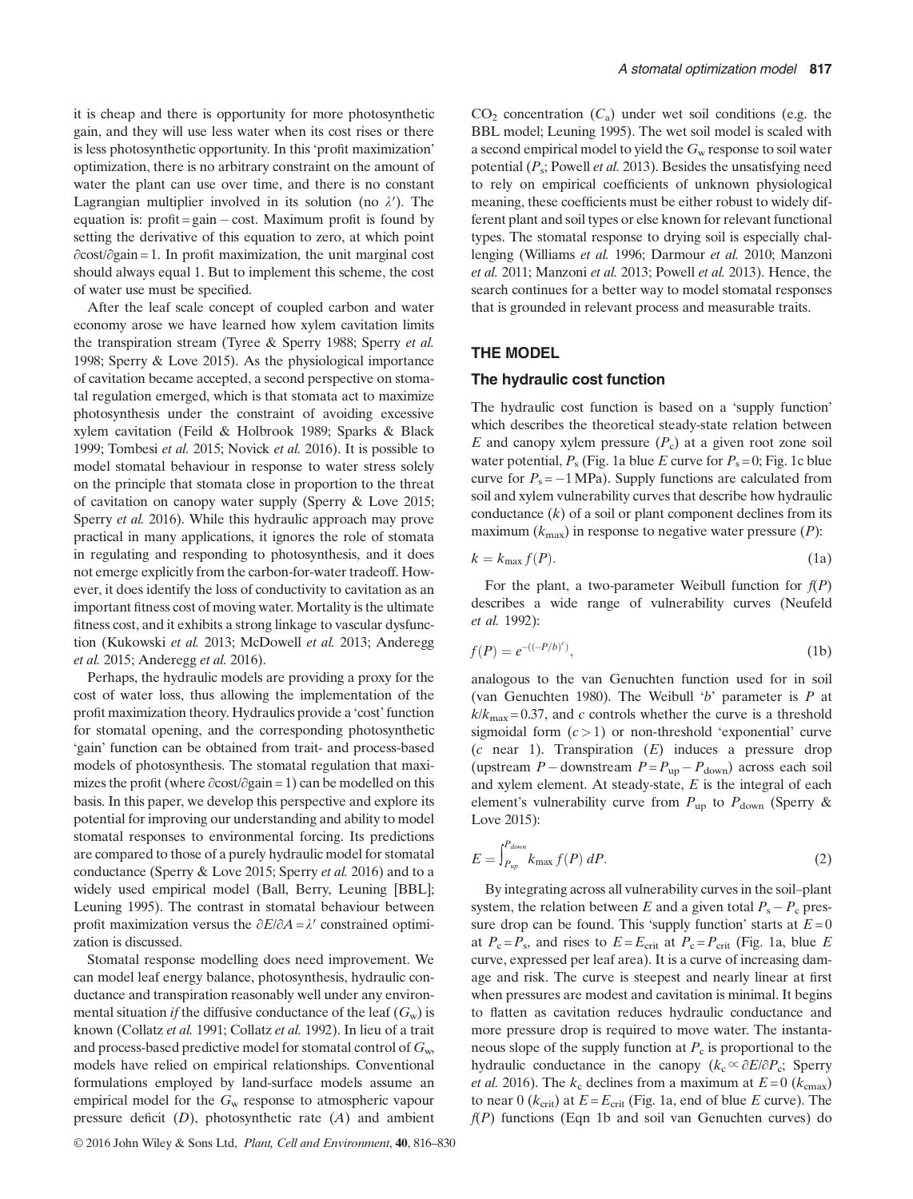it is cheap and there is opportunity for more photosynthetic gain, and they will use less water when its cost rises or there is less photosynthetic opportunity. In this 'profit maximization' optimization, there is no arbitrary constraint on the amount of water the plant can use over time, and there is no constant Lagrangian multiplier involved in its solution (no  $\lambda'$ ). The equation is:  $profit = gain - cost$ . Maximum profit is found by setting the derivative of this equation to zero, at which point ∂cost/∂gain = 1. In profit maximization, the unit marginal cost should always equal 1. But to implement this scheme, the cost of water use must be specified.

After the leaf scale concept of coupled carbon and water economy arose we have learned how xylem cavitation limits the transpiration stream (Tyree & Sperry 1988; Sperry et al. 1998; Sperry & Love 2015). As the physiological importance of cavitation became accepted, a second perspective on stomatal regulation emerged, which is that stomata act to maximize photosynthesis under the constraint of avoiding excessive xylem cavitation (Feild & Holbrook 1989; Sparks & Black 1999; Tombesi et al. 2015; Novick et al. 2016). It is possible to model stomatal behaviour in response to water stress solely on the principle that stomata close in proportion to the threat of cavitation on canopy water supply (Sperry & Love 2015; Sperry et al. 2016). While this hydraulic approach may prove practical in many applications, it ignores the role of stomata in regulating and responding to photosynthesis, and it does not emerge explicitly from the carbon-for-water tradeoff. However, it does identify the loss of conductivity to cavitation as an important fitness cost of moving water. Mortality is the ultimate fitness cost, and it exhibits a strong linkage to vascular dysfunction (Kukowski et al. 2013; McDowell et al. 2013; Anderegg et al. 2015; Anderegg et al. 2016).

Perhaps, the hydraulic models are providing a proxy for the cost of water loss, thus allowing the implementation of the profit maximization theory. Hydraulics provide a 'cost' function for stomatal opening, and the corresponding photosynthetic 'gain' function can be obtained from trait- and process-based models of photosynthesis. The stomatal regulation that maximizes the profit (where ∂cost/∂gain = 1) can be modelled on this basis. In this paper, we develop this perspective and explore its potential for improving our understanding and ability to model stomatal responses to environmental forcing. Its predictions are compared to those of a purely hydraulic model for stomatal conductance (Sperry & Love 2015; Sperry et al. 2016) and to a widely used empirical model (Ball, Berry, Leuning [BBL]; Leuning 1995). The contrast in stomatal behaviour between profit maximization versus the  $\partial E/\partial A = \lambda'$  constrained optimization is discussed.

Stomatal response modelling does need improvement. We can model leaf energy balance, photosynthesis, hydraulic conductance and transpiration reasonably well under any environmental situation *if* the diffusive conductance of the leaf  $(G_w)$  is known (Collatz et al. 1991; Collatz et al. 1992). In lieu of a trait and process-based predictive model for stomatal control of  $G_w$ , models have relied on empirical relationships. Conventional formulations employed by land-surface models assume an empirical model for the  $G_w$  response to atmospheric vapour pressure deficit  $(D)$ , photosynthetic rate  $(A)$  and ambient

© 2016 John Wiley & Sons Ltd, Plant, Cell and Environment, 40, 816–830

 $CO<sub>2</sub>$  concentration  $(C<sub>a</sub>)$  under wet soil conditions (e.g. the BBL model; Leuning 1995). The wet soil model is scaled with a second empirical model to yield the  $G_w$  response to soil water potential  $(P_s;$  Powell *et al.* 2013). Besides the unsatisfying need to rely on empirical coefficients of unknown physiological meaning, these coefficients must be either robust to widely different plant and soil types or else known for relevant functional types. The stomatal response to drying soil is especially challenging (Williams et al. 1996; Darmour et al. 2010; Manzoni et al. 2011; Manzoni et al. 2013; Powell et al. 2013). Hence, the search continues for a better way to model stomatal responses that is grounded in relevant process and measurable traits.

# THE MODEL

#### The hydraulic cost function

The hydraulic cost function is based on a 'supply function' which describes the theoretical steady-state relation between E and canopy xylem pressure  $(P_c)$  at a given root zone soil water potential,  $P_s$  (Fig. 1a blue E curve for  $P_s = 0$ ; Fig. 1c blue curve for  $P_s = -1 \text{ MPa}$ ). Supply functions are calculated from soil and xylem vulnerability curves that describe how hydraulic conductance  $(k)$  of a soil or plant component declines from its maximum  $(k_{\text{max}})$  in response to negative water pressure  $(P)$ :

$$
k = k_{\text{max}} f(P). \tag{1a}
$$

For the plant, a two-parameter Weibull function for  $f(P)$ describes a wide range of vulnerability curves (Neufeld et al. 1992):

$$
f(P) = e^{-\left((-P/b)^c\right)},\tag{1b}
$$

analogous to the van Genuchten function used for in soil (van Genuchten 1980). The Weibull 'b' parameter is P at  $k/k<sub>max</sub> = 0.37$ , and c controls whether the curve is a threshold sigmoidal form  $(c > 1)$  or non-threshold 'exponential' curve  $(c \text{ near } 1)$ . Transpiration  $(E)$  induces a pressure drop (upstream  $P -$ downstream  $P = P_{up} - P_{down}$ ) across each soil and xylem element. At steady-state,  $E$  is the integral of each element's vulnerability curve from  $P_{\text{up}}$  to  $P_{\text{down}}$  (Sperry & Love 2015):

$$
E = \int_{P_{up}}^{P_{down}} k_{\text{max}} f(P) \, dP. \tag{2}
$$

By integrating across all vulnerability curves in the soil–plant system, the relation between E and a given total  $P_s - P_c$  pressure drop can be found. This 'supply function' starts at  $E = 0$ at  $P_c = P_s$ , and rises to  $E = E_{crit}$  at  $P_c = P_{crit}$  (Fig. 1a, blue E curve, expressed per leaf area). It is a curve of increasing damage and risk. The curve is steepest and nearly linear at first when pressures are modest and cavitation is minimal. It begins to flatten as cavitation reduces hydraulic conductance and more pressure drop is required to move water. The instantaneous slope of the supply function at  $P_c$  is proportional to the hydraulic conductance in the canopy ( $k_c \propto \partial E/\partial P_c$ ; Sperry *et al.* 2016). The  $k_c$  declines from a maximum at  $E = 0$  ( $k_{\text{cmax}}$ ) to near 0 ( $k_{\text{crit}}$ ) at  $E = E_{\text{crit}}$  (Fig. 1a, end of blue E curve). The  $f(P)$  functions (Eqn 1b and soil van Genuchten curves) do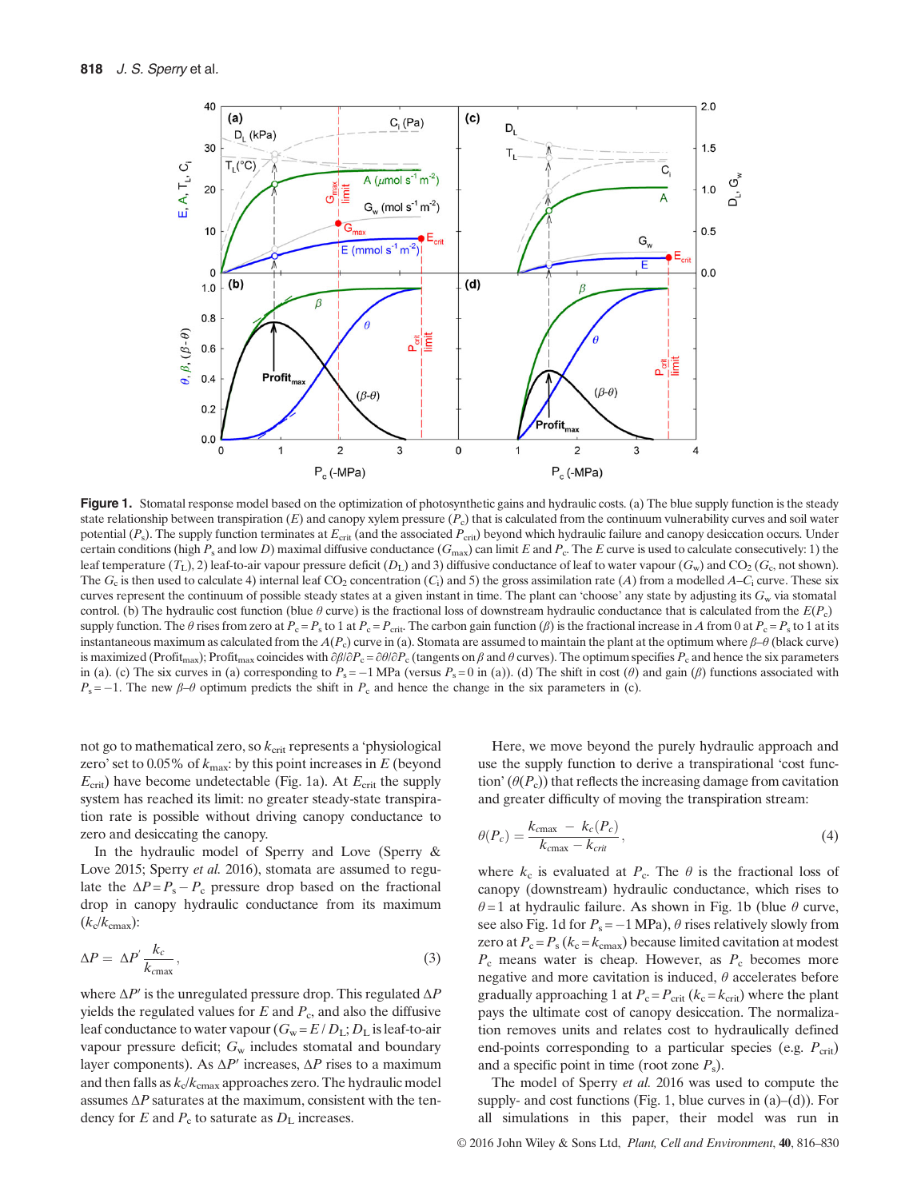

Figure 1. Stomatal response model based on the optimization of photosynthetic gains and hydraulic costs. (a) The blue supply function is the steady state relationship between transpiration  $(E)$  and canopy xylem pressure  $(P_c)$  that is calculated from the continuum vulnerability curves and soil water potential  $(P_s)$ . The supply function terminates at  $E_{\text{crit}}$  (and the associated  $P_{\text{crit}}$ ) beyond which hydraulic failure and canopy desiccation occurs. Under certain conditions (high  $P_s$  and low D) maximal diffusive conductance ( $G_{\text{max}}$ ) can limit E and  $P_c$ . The E curve is used to calculate consecutively: 1) the leaf temperature  $(T_L)$ , 2) leaf-to-air vapour pressure deficit  $(D_L)$  and 3) diffusive conductance of leaf to water vapour  $(G_w)$  and  $CO_2$   $(G_c)$  not shown). The  $G_c$  is then used to calculate 4) internal leaf CO<sub>2</sub> concentration (C<sub>i</sub>) and 5) the gross assimilation rate (A) from a modelled A–C<sub>i</sub> curve. These six curves represent the continuum of possible steady states at a given instant in time. The plant can 'choose' any state by adjusting its  $G_w$  via stomatal control. (b) The hydraulic cost function (blue  $\theta$  curve) is the fractional loss of downstream hydraulic conductance that is calculated from the  $E(P_c)$ supply function. The  $\theta$  rises from zero at  $P_c = P_s$  to 1 at  $P_c = P_{crit}$ . The carbon gain function ( $\beta$ ) is the fractional increase in A from 0 at  $P_c = P_s$  to 1 at its instantaneous maximum as calculated from the  $A(P_c)$  curve in (a). Stomata are assumed to maintain the plant at the optimum where  $\beta-\theta$  (black curve) is maximized (Profit<sub>max</sub>); Profit<sub>max</sub> coincides with  $\partial \beta/\partial P_c = \partial \theta/\partial P_c$  (tangents on  $\beta$  and  $\theta$  curves). The optimum specifies  $P_c$  and hence the six parameters in (a). (c) The six curves in (a) corresponding to  $P_s = -1$  MPa (versus  $P_s = 0$  in (a)). (d) The shift in cost ( $\theta$ ) and gain ( $\beta$ ) functions associated with  $P_s = -1$ . The new  $\beta-\theta$  optimum predicts the shift in  $P_c$  and hence the change in the six parameters in (c).

not go to mathematical zero, so  $k_{\text{crit}}$  represents a 'physiological zero' set to  $0.05\%$  of  $k_{\text{max}}$ : by this point increases in E (beyond  $E_{\text{crit}}$ ) have become undetectable (Fig. 1a). At  $E_{\text{crit}}$  the supply system has reached its limit: no greater steady-state transpiration rate is possible without driving canopy conductance to zero and desiccating the canopy.

In the hydraulic model of Sperry and Love (Sperry & Love 2015; Sperry et al. 2016), stomata are assumed to regulate the  $\Delta P = P_s - P_c$  pressure drop based on the fractional drop in canopy hydraulic conductance from its maximum  $(k_c/k_{\rm cmax})$ :

$$
\Delta P = \Delta P' \frac{k_c}{k_{\text{cmax}}},\tag{3}
$$

where  $\Delta P'$  is the unregulated pressure drop. This regulated  $\Delta P$ yields the regulated values for  $E$  and  $P_c$ , and also the diffusive leaf conductance to water vapour  $(G_w = E/D_L; D_L$  is leaf-to-air vapour pressure deficit;  $G_w$  includes stomatal and boundary layer components). As  $\Delta P'$  increases,  $\Delta P$  rises to a maximum and then falls as  $k_c/k<sub>cmax</sub>$  approaches zero. The hydraulic model assumes  $\Delta P$  saturates at the maximum, consistent with the tendency for E and  $P_c$  to saturate as  $D<sub>L</sub>$  increases.

Here, we move beyond the purely hydraulic approach and use the supply function to derive a transpirational 'cost function'  $(\theta(P_c))$  that reflects the increasing damage from cavitation and greater difficulty of moving the transpiration stream:

$$
\theta(P_c) = \frac{k_{\text{cmax}} - k_c(P_c)}{k_{\text{cmax}} - k_{\text{crit}}},\tag{4}
$$

where  $k_c$  is evaluated at  $P_c$ . The  $\theta$  is the fractional loss of canopy (downstream) hydraulic conductance, which rises to  $\theta = 1$  at hydraulic failure. As shown in Fig. 1b (blue  $\theta$  curve, see also Fig. 1d for  $P_s = -1 \text{ MPa}$ ),  $\theta$  rises relatively slowly from zero at  $P_c = P_s (k_c = k_{cmax})$  because limited cavitation at modest  $P_c$  means water is cheap. However, as  $P_c$  becomes more negative and more cavitation is induced,  $\theta$  accelerates before gradually approaching 1 at  $P_c = P_{crit} (k_c = k_{crit})$  where the plant pays the ultimate cost of canopy desiccation. The normalization removes units and relates cost to hydraulically defined end-points corresponding to a particular species (e.g.  $P_{\rm crit}$ ) and a specific point in time (root zone  $P_s$ ).

The model of Sperry et al. 2016 was used to compute the supply- and cost functions (Fig. 1, blue curves in  $(a)$ – $(d)$ ). For all simulations in this paper, their model was run in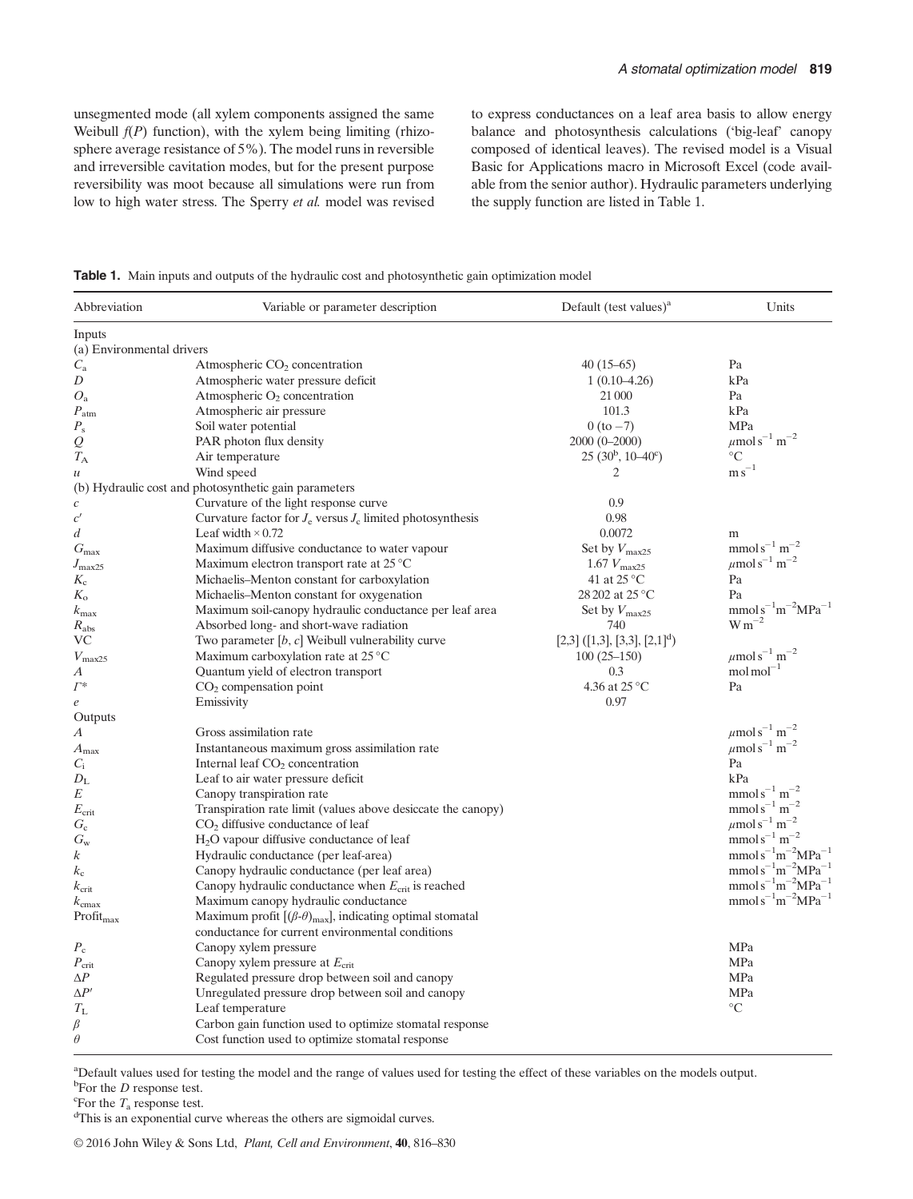unsegmented mode (all xylem components assigned the same Weibull  $f(P)$  function), with the xylem being limiting (rhizosphere average resistance of 5%). The model runs in reversible and irreversible cavitation modes, but for the present purpose reversibility was moot because all simulations were run from low to high water stress. The Sperry et al. model was revised to express conductances on a leaf area basis to allow energy balance and photosynthesis calculations ('big-leaf' canopy composed of identical leaves). The revised model is a Visual Basic for Applications macro in Microsoft Excel (code available from the senior author). Hydraulic parameters underlying the supply function are listed in Table 1.

Table 1. Main inputs and outputs of the hydraulic cost and photosynthetic gain optimization model

| Abbreviation              | Variable or parameter description                                     | Default (test values) $a$         | Units                                    |
|---------------------------|-----------------------------------------------------------------------|-----------------------------------|------------------------------------------|
| Inputs                    |                                                                       |                                   |                                          |
| (a) Environmental drivers |                                                                       |                                   |                                          |
| $C_{\rm a}$               | Atmospheric $CO2$ concentration                                       | $40(15-65)$                       | Pa                                       |
| D                         | Atmospheric water pressure deficit                                    | $1(0.10-4.26)$                    | kPa                                      |
| $O_{a}$                   | Atmospheric $O_2$ concentration                                       | 21 000                            | Pa                                       |
| $P_{\rm atm}$             | Atmospheric air pressure                                              | 101.3                             | kPa                                      |
| $P_{\rm s}$               | Soil water potential                                                  | $0(to-7)$                         | MPa                                      |
| Q                         | PAR photon flux density                                               | 2000 (0-2000)                     | $\mu$ mols <sup>-1</sup> m <sup>-2</sup> |
| $T_{\rm A}$               | Air temperature                                                       | $25(30^b, 10-40^c)$               | $\rm ^{\circ}C$                          |
| $\mathcal{U}$             | Wind speed                                                            | $\overline{2}$                    | ${\rm m\,s}^{-1}$                        |
|                           | (b) Hydraulic cost and photosynthetic gain parameters                 |                                   |                                          |
| $\boldsymbol{c}$          | Curvature of the light response curve                                 | 0.9                               |                                          |
| c'                        | Curvature factor for $J_e$ versus $J_c$ limited photosynthesis        | 0.98                              |                                          |
| d                         | Leaf width $\times$ 0.72                                              | 0.0072                            | m                                        |
| $G_{\text{max}}$          | Maximum diffusive conductance to water vapour                         | Set by $V_{\text{max25}}$         | $mmols^{-1} m^{-2}$                      |
| $J_{\rm max25}$           | Maximum electron transport rate at $25^{\circ}$ C                     | 1.67 $V_{\text{max25}}$           | $\mu$ mols <sup>-1</sup> m <sup>-2</sup> |
| $K_{c}$                   | Michaelis–Menton constant for carboxylation                           | 41 at 25 °C                       | Pa                                       |
| $K_{\rm o}$               | Michaelis-Menton constant for oxygenation                             | 28 202 at 25 °C                   | Pa                                       |
| $k_{\text{max}}$          | Maximum soil-canopy hydraulic conductance per leaf area               | Set by $V_{\text{max25}}$         | $mmol s-1m-2MPa-1$                       |
| $R_{\rm abs}$             | Absorbed long- and short-wave radiation                               | 740                               | $\mathrm{W\,m}^{-2}$                     |
| <b>VC</b>                 | Two parameter $[b, c]$ Weibull vulnerability curve                    | $[2,3] ([1,3], [3,3], [2,1]^{d})$ |                                          |
| $V_{\rm max25}$           | Maximum carboxylation rate at $25^{\circ}$ C                          | $100(25-150)$                     | $\mu$ mols <sup>-1</sup> m <sup>-2</sup> |
| А                         | Quantum yield of electron transport                                   | 0.3                               | $mol \, mol^{-1}$                        |
| $\varGamma^*$             | $CO2$ compensation point                                              | 4.36 at $25^{\circ}$ C            | Pa                                       |
| e                         | Emissivity                                                            | 0.97                              |                                          |
| Outputs                   |                                                                       |                                   |                                          |
| А                         | Gross assimilation rate                                               |                                   | $\mu$ mols <sup>-1</sup> m <sup>-2</sup> |
| $A_{\rm max}$             | Instantaneous maximum gross assimilation rate                         |                                   | $\mu$ mols <sup>-1</sup> m <sup>-2</sup> |
| $C_i$                     | Internal leaf $CO2$ concentration                                     |                                   | Pa                                       |
| $D_{\rm L}$               | Leaf to air water pressure deficit                                    |                                   | kPa                                      |
| E                         | Canopy transpiration rate                                             |                                   | $\mathrm{mmol\,s}^{-1}\,\mathrm{m}^{-2}$ |
| $E_{\rm crit}$            | Transpiration rate limit (values above desiccate the canopy)          |                                   | $mmols^{-1} m^{-2}$                      |
| $G_{c}$                   | $CO2$ diffusive conductance of leaf                                   |                                   | $\mu$ mols <sup>-1</sup> m <sup>-2</sup> |
| $G_{\rm w}$               | $H2O$ vapour diffusive conductance of leaf                            |                                   | $mmols^{-1} m^{-2}$                      |
| k                         | Hydraulic conductance (per leaf-area)                                 |                                   | $mmols^{-1}m^{-2}MPa^{-1}$               |
| $k_{\rm c}$               | Canopy hydraulic conductance (per leaf area)                          |                                   | $mmols^{-1}m^{-2}MPa^{-}$                |
| $k_{\rm crit}$            | Canopy hydraulic conductance when $E_{\text{crit}}$ is reached        |                                   | $mmols^{-1}m^{-2}MPa^{-}$                |
| $k_{\rm cmax}$            | Maximum canopy hydraulic conductance                                  |                                   | $mmols^{-1}m^{-2}MPa^{-}$                |
| $Profit_{max}$            | Maximum profit $[(\beta-\theta)_{max}]$ , indicating optimal stomatal |                                   |                                          |
|                           | conductance for current environmental conditions                      |                                   |                                          |
| $P_{\rm c}$               | Canopy xylem pressure                                                 |                                   | MPa                                      |
| $P_{\rm crit}$            | Canopy xylem pressure at $E_{\text{crit}}$                            |                                   | MPa                                      |
| $\Delta P$                | Regulated pressure drop between soil and canopy                       |                                   | MPa                                      |
| $\Delta P'$               | Unregulated pressure drop between soil and canopy                     |                                   | MPa                                      |
| $T_{\rm L}$               | Leaf temperature                                                      |                                   | $\rm ^{\circ}C$                          |
| β                         | Carbon gain function used to optimize stomatal response               |                                   |                                          |
| $\theta$                  | Cost function used to optimize stomatal response                      |                                   |                                          |

a Default values used for testing the model and the range of values used for testing the effect of these variables on the models output. <sup>b</sup>For the *D* response test.

 $\mathcal{F}$  For the  $T_a$  response test.

This is an exponential curve whereas the others are sigmoidal curves.

© 2016 John Wiley & Sons Ltd, Plant, Cell and Environment, 40, 816–830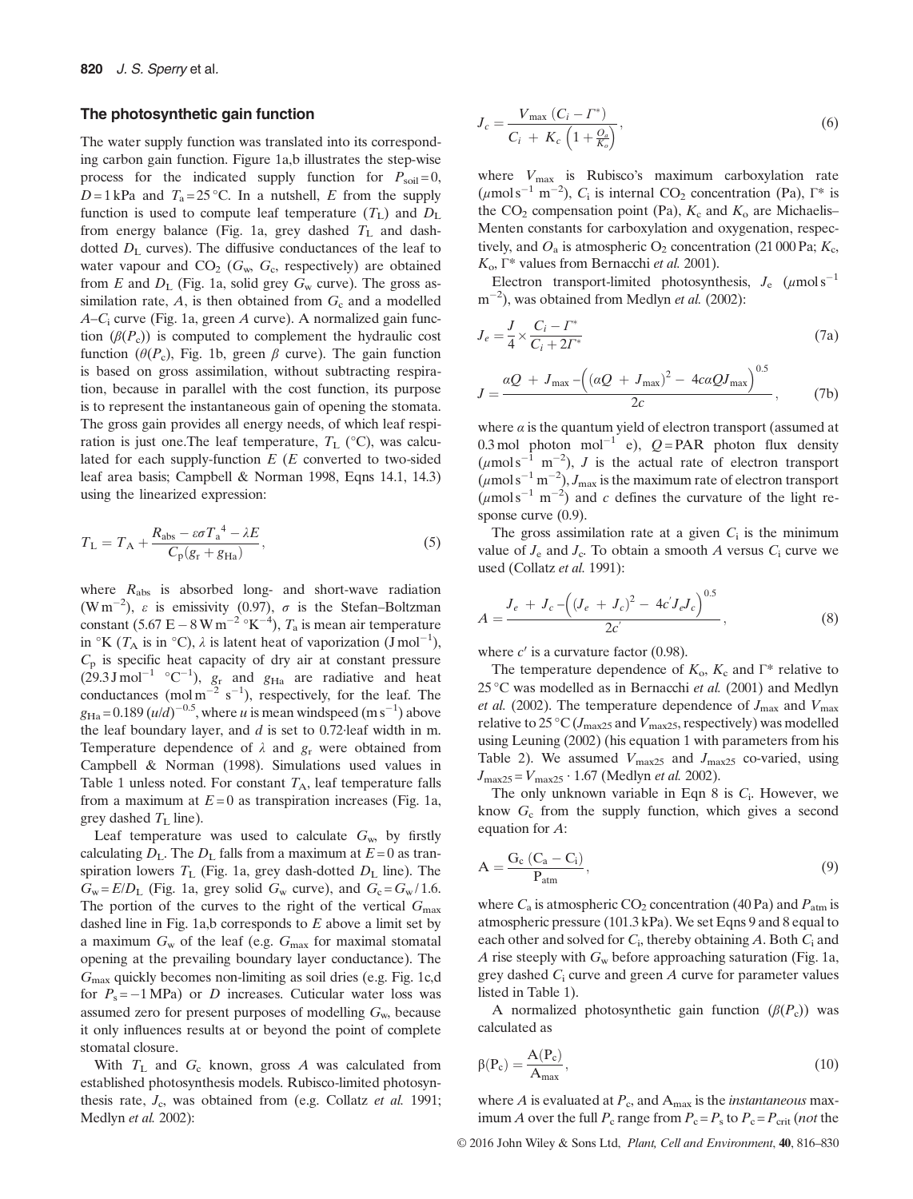#### The photosynthetic gain function

The water supply function was translated into its corresponding carbon gain function. Figure 1a,b illustrates the step-wise process for the indicated supply function for  $P_{\text{soil}}=0$ ,  $D = 1$  kPa and  $T_a = 25$  °C. In a nutshell, E from the supply function is used to compute leaf temperature  $(T_L)$  and  $D_L$ from energy balance (Fig. 1a, grey dashed  $T_L$  and dashdotted  $D<sub>L</sub>$  curves). The diffusive conductances of the leaf to water vapour and  $CO<sub>2</sub>$  ( $G<sub>w</sub>$ ,  $G<sub>c</sub>$ , respectively) are obtained from E and  $D_{\rm L}$  (Fig. 1a, solid grey  $G_{\rm w}$  curve). The gross assimilation rate,  $A$ , is then obtained from  $G_c$  and a modelled  $A-C_i$  curve (Fig. 1a, green A curve). A normalized gain function  $(\beta(P_c))$  is computed to complement the hydraulic cost function ( $\theta(P_c)$ , Fig. 1b, green  $\beta$  curve). The gain function is based on gross assimilation, without subtracting respiration, because in parallel with the cost function, its purpose is to represent the instantaneous gain of opening the stomata. The gross gain provides all energy needs, of which leaf respiration is just one. The leaf temperature,  $T_L$  (°C), was calculated for each supply-function  $E(E)$  converted to two-sided leaf area basis; Campbell & Norman 1998, Eqns 14.1, 14.3) using the linearized expression:

$$
T_{\rm L} = T_{\rm A} + \frac{R_{\rm abs} - \varepsilon \sigma T_{\rm a}^4 - \lambda E}{C_{\rm p}(g_{\rm r} + g_{\rm Ha})},\tag{5}
$$

where  $R_{\text{abs}}$  is absorbed long- and short-wave radiation  $(Wm^{-2})$ ,  $\varepsilon$  is emissivity (0.97),  $\sigma$  is the Stefan–Boltzman constant (5.67 E – 8 W m<sup>-2</sup> °K<sup>-4</sup>),  $T_a$  is mean air temperature in  ${}^{\circ}$ K ( $T_A$  is in  ${}^{\circ}$ C),  $\lambda$  is latent heat of vaporization (J mol<sup>-1</sup>),  $C_p$  is specific heat capacity of dry air at constant pressure  $(29.3 \text{ J mol}^{-1} \text{ °C}^{-1})$ ,  $g_r$  and  $g_{Ha}$  are radiative and heat conductances (mol m<sup>-2</sup> s<sup>-1</sup>), respectively, for the leaf. The  $g_{\text{Ha}} = 0.189 \left( u/d \right)^{-0.5}$ , where u is mean windspeed (m s<sup>-1</sup>) above the leaf boundary layer, and d is set to 0.72∙leaf width in m. Temperature dependence of  $\lambda$  and  $g_r$  were obtained from Campbell & Norman (1998). Simulations used values in Table 1 unless noted. For constant  $T_A$ , leaf temperature falls from a maximum at  $E=0$  as transpiration increases (Fig. 1a, grey dashed  $T<sub>L</sub>$  line).

Leaf temperature was used to calculate  $G_w$ , by firstly calculating  $D_L$ . The  $D_L$  falls from a maximum at  $E = 0$  as transpiration lowers  $T_L$  (Fig. 1a, grey dash-dotted  $D_L$  line). The  $G_w = E/D_L$  (Fig. 1a, grey solid  $G_w$  curve), and  $G_c = G_w / 1.6$ . The portion of the curves to the right of the vertical  $G_{\text{max}}$ dashed line in Fig. 1a,b corresponds to  $E$  above a limit set by a maximum  $G_w$  of the leaf (e.g.  $G_{\text{max}}$  for maximal stomatal opening at the prevailing boundary layer conductance). The  $G<sub>max</sub>$  quickly becomes non-limiting as soil dries (e.g. Fig. 1c,d for  $P_s = -1 \text{ MPa}$  or D increases. Cuticular water loss was assumed zero for present purposes of modelling  $G_w$ , because it only influences results at or beyond the point of complete stomatal closure.

With  $T_L$  and  $G_c$  known, gross A was calculated from established photosynthesis models. Rubisco-limited photosynthesis rate,  $J_c$ , was obtained from (e.g. Collatz et al. 1991; Medlyn et al. 2002):

$$
J_c = \frac{V_{\text{max}}\left(C_i - \Gamma^*\right)}{C_i + K_c\left(1 + \frac{O_a}{K_o}\right)},\tag{6}
$$

where  $V_{\text{max}}$  is Rubisco's maximum carboxylation rate  $(\mu \text{mol s}^{-1} \text{ m}^{-2})$ ,  $C_i$  is internal CO<sub>2</sub> concentration (Pa),  $\Gamma^*$  is the  $CO<sub>2</sub>$  compensation point (Pa),  $K<sub>c</sub>$  and  $K<sub>o</sub>$  are Michaelis– Menten constants for carboxylation and oxygenation, respectively, and  $O_a$  is atmospheric  $O_2$  concentration (21 000 Pa;  $K_c$ ,  $K<sub>o</sub>$ , Γ<sup>\*</sup> values from Bernacchi *et al.* 2001).

Electron transport-limited photosynthesis,  $J_e$  ( $\mu$ mol s<sup>-1</sup>)  $m^{-2}$ ), was obtained from Medlyn *et al.* (2002):

$$
J_e = \frac{J}{4} \times \frac{C_i - \Gamma^*}{C_i + 2\Gamma^*}
$$
\n(7a)

$$
J = \frac{aQ + J_{\text{max}} - \left( (aQ + J_{\text{max}})^2 - 4caQJ_{\text{max}} \right)^{0.5}}{2c},
$$
 (7b)

where  $\alpha$  is the quantum yield of electron transport (assumed at 0.3 mol photon mol<sup>-1</sup> e),  $Q = PAR$  photon flux density  $(\mu \text{mol s}^{-1} \text{ m}^{-2})$ , *J* is the actual rate of electron transport  $(\mu \text{mol s}^{-1} \text{ m}^{-2}), J_{\text{max}}$  is the maximum rate of electron transport  $(\mu \text{mol s}^{-1} \text{ m}^{-2})$  and c defines the curvature of the light response curve  $(0.9)$ .

The gross assimilation rate at a given  $C_i$  is the minimum value of  $J_e$  and  $J_c$ . To obtain a smooth A versus  $C_i$  curve we used (Collatz et al. 1991):

$$
A = \frac{J_e + J_c - ((J_e + J_c)^2 - 4c'J_eJ_c)^{0.5}}{2c'},
$$
\n(8)

where  $c'$  is a curvature factor (0.98).

The temperature dependence of  $K_0$ ,  $K_c$  and  $\Gamma^*$  relative to 25 °C was modelled as in Bernacchi et al. (2001) and Medlyn *et al.* (2002). The temperature dependence of  $J_{\text{max}}$  and  $V_{\text{max}}$ relative to 25 °C ( $J_{\text{max25}}$  and  $V_{\text{max25}}$ , respectively) was modelled using Leuning (2002) (his equation 1 with parameters from his Table 2). We assumed  $V_{\text{max25}}$  and  $J_{\text{max25}}$  co-varied, using  $J_{\text{max25}} = V_{\text{max25}} \cdot 1.67$  (Medlyn *et al.* 2002).

The only unknown variable in Eqn 8 is  $C_i$ . However, we know  $G_c$  from the supply function, which gives a second equation for A:

$$
A = \frac{G_c (C_a - C_i)}{P_{atm}},
$$
\n(9)

where  $C_a$  is atmospheric CO<sub>2</sub> concentration (40 Pa) and  $P_{\text{atm}}$  is atmospheric pressure (101.3 kPa). We set Eqns 9 and 8 equal to each other and solved for  $C_i$ , thereby obtaining A. Both  $C_i$  and A rise steeply with  $G_w$  before approaching saturation (Fig. 1a, grey dashed  $C_i$  curve and green  $A$  curve for parameter values listed in Table 1).

A normalized photosynthetic gain function  $(\beta(P_c))$  was calculated as

$$
\beta(P_c) = \frac{A(P_c)}{A_{\text{max}}},\tag{10}
$$

where  $A$  is evaluated at  $P_c$ , and  $A_{\text{max}}$  is the *instantaneous* maximum A over the full  $P_c$  range from  $P_c = P_s$  to  $P_c = P_{crit}$  (not the

© 2016 John Wiley & Sons Ltd, Plant, Cell and Environment, 40, 816–830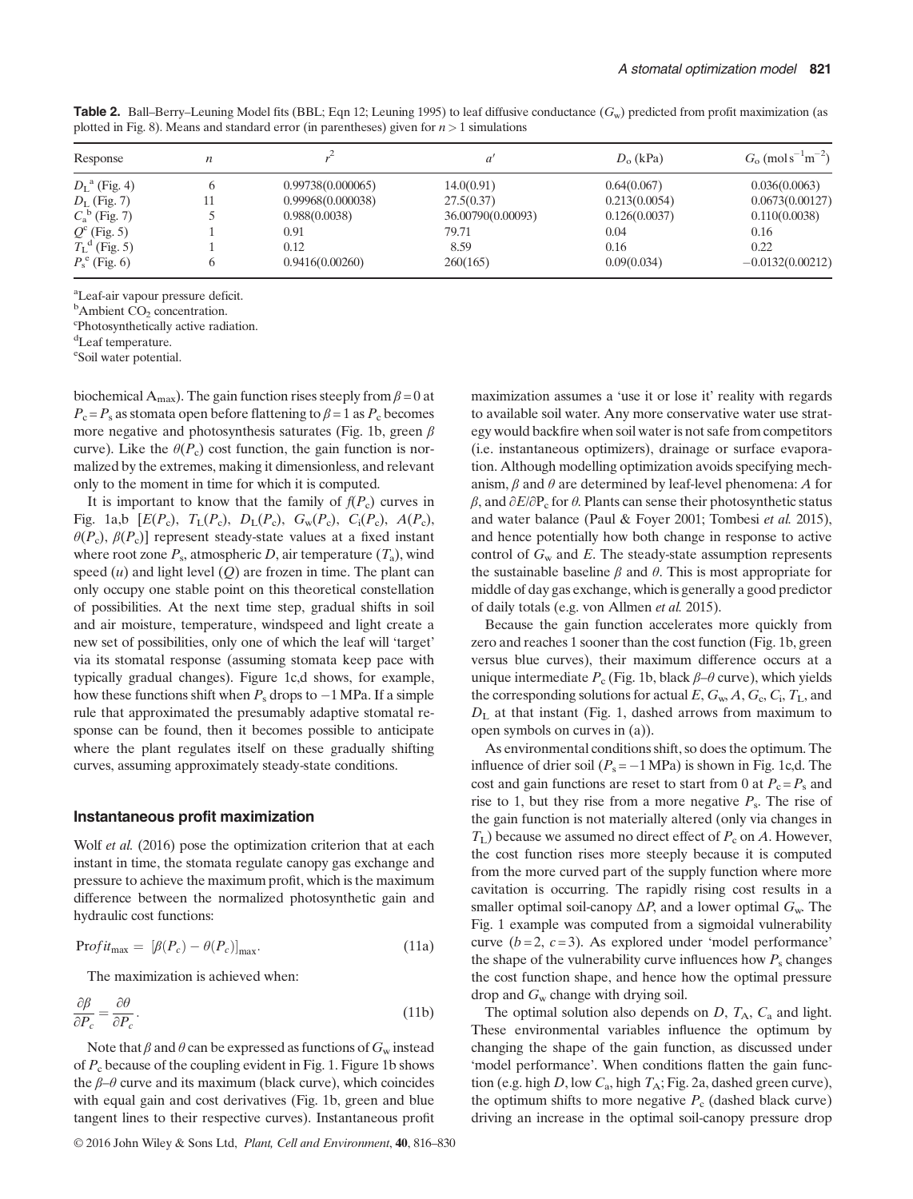| Response                     | n  |                   |                   | $D_0$ (kPa)   | $G_0$ (mols <sup>-1</sup> m <sup>-2</sup> ) |
|------------------------------|----|-------------------|-------------------|---------------|---------------------------------------------|
| $D_{\rm L}^{\rm a}$ (Fig. 4) |    | 0.99738(0.000065) | 14.0(0.91)        | 0.64(0.067)   | 0.036(0.0063)                               |
| $D_L$ (Fig. 7)               |    | 0.99968(0.000038) | 27.5(0.37)        | 0.213(0.0054) | 0.0673(0.00127)                             |
| $C_{a}^{b}$ (Fig. 7)         |    | 0.988(0.0038)     | 36.00790(0.00093) | 0.126(0.0037) | 0.110(0.0038)                               |
| $Q^{c}$ (Fig. 5)             |    | 0.91              | 79.71             | 0.04          | 0.16                                        |
| $T_{\rm L}^{\rm d}$ (Fig. 5) |    | 0.12              | 8.59              | 0.16          | 0.22                                        |
| $P_{\rm s}^{\rm e}$ (Fig. 6) | h. | 0.9416(0.00260)   | 260(165)          | 0.09(0.034)   | $-0.0132(0.00212)$                          |

**Table 2.** Ball–Berry–Leuning Model fits (BBL; Eqn 12; Leuning 1995) to leaf diffusive conductance  $(G_w)$  predicted from profit maximization (as plotted in Fig. 8). Means and standard error (in parentheses) given for  $n > 1$  simulations

a Leaf-air vapour pressure deficit.

 ${}^{\text{b}}$ Ambient CO<sub>2</sub> concentration.

Photosynthetically active radiation.

<sup>d</sup>Leaf temperature.

e Soil water potential.

biochemical A<sub>max</sub>). The gain function rises steeply from  $\beta = 0$  at  $P_c = P_s$  as stomata open before flattening to  $\beta = 1$  as  $P_c$  becomes more negative and photosynthesis saturates (Fig. 1b, green  $\beta$ curve). Like the  $\theta(P_c)$  cost function, the gain function is normalized by the extremes, making it dimensionless, and relevant only to the moment in time for which it is computed.

It is important to know that the family of  $f(P_c)$  curves in Fig. 1a,b  $[E(P_c), T_L(P_c), D_L(P_c), G_w(P_c), C_i(P_c), A(P_c),$  $\theta(P_c)$ ,  $\beta(P_c)$ ] represent steady-state values at a fixed instant where root zone  $P_s$ , atmospheric D, air temperature  $(T_a)$ , wind speed  $(u)$  and light level  $(Q)$  are frozen in time. The plant can only occupy one stable point on this theoretical constellation of possibilities. At the next time step, gradual shifts in soil and air moisture, temperature, windspeed and light create a new set of possibilities, only one of which the leaf will 'target' via its stomatal response (assuming stomata keep pace with typically gradual changes). Figure 1c,d shows, for example, how these functions shift when  $P_s$  drops to  $-1$  MPa. If a simple rule that approximated the presumably adaptive stomatal response can be found, then it becomes possible to anticipate where the plant regulates itself on these gradually shifting curves, assuming approximately steady-state conditions.

#### Instantaneous profit maximization

Wolf *et al.* (2016) pose the optimization criterion that at each instant in time, the stomata regulate canopy gas exchange and pressure to achieve the maximum profit, which is the maximum difference between the normalized photosynthetic gain and hydraulic cost functions:

$$
Profit_{\text{max}} = [\beta(P_c) - \theta(P_c)]_{\text{max}}.
$$
\n(11a)

The maximization is achieved when:

$$
\frac{\partial \beta}{\partial P_c} = \frac{\partial \theta}{\partial P_c}.
$$
\n(11b)

Note that  $\beta$  and  $\theta$  can be expressed as functions of  $G_w$  instead of  $P_c$  because of the coupling evident in Fig. 1. Figure 1b shows the  $\beta$ – $\theta$  curve and its maximum (black curve), which coincides with equal gain and cost derivatives (Fig. 1b, green and blue tangent lines to their respective curves). Instantaneous profit

maximization assumes a 'use it or lose it' reality with regards to available soil water. Any more conservative water use strategy would backfire when soil water is not safe from competitors (i.e. instantaneous optimizers), drainage or surface evaporation. Although modelling optimization avoids specifying mechanism,  $\beta$  and  $\theta$  are determined by leaf-level phenomena: A for β, and  $\partial E/\partial P_c$  for θ. Plants can sense their photosynthetic status and water balance (Paul & Foyer 2001; Tombesi et al. 2015), and hence potentially how both change in response to active control of  $G_w$  and E. The steady-state assumption represents the sustainable baseline  $\beta$  and  $\theta$ . This is most appropriate for middle of day gas exchange, which is generally a good predictor of daily totals (e.g. von Allmen et al. 2015).

Because the gain function accelerates more quickly from zero and reaches 1 sooner than the cost function (Fig. 1b, green versus blue curves), their maximum difference occurs at a unique intermediate  $P_c$  (Fig. 1b, black  $\beta$ – $\theta$  curve), which yields the corresponding solutions for actual  $E, G_w, A, G_c, C_i, T_L$ , and  $D_{\text{L}}$  at that instant (Fig. 1, dashed arrows from maximum to open symbols on curves in (a)).

As environmental conditions shift, so does the optimum. The influence of drier soil  $(P_s = -1 \text{ MPa})$  is shown in Fig. 1c,d. The cost and gain functions are reset to start from 0 at  $P_c = P_s$  and rise to 1, but they rise from a more negative  $P_s$ . The rise of the gain function is not materially altered (only via changes in  $T_{\rm L}$ ) because we assumed no direct effect of  $P_{\rm c}$  on A. However, the cost function rises more steeply because it is computed from the more curved part of the supply function where more cavitation is occurring. The rapidly rising cost results in a smaller optimal soil-canopy  $\Delta P$ , and a lower optimal  $G_w$ . The Fig. 1 example was computed from a sigmoidal vulnerability curve  $(b=2, c=3)$ . As explored under 'model performance' the shape of the vulnerability curve influences how  $P_s$  changes the cost function shape, and hence how the optimal pressure drop and  $G_w$  change with drying soil.

The optimal solution also depends on  $D$ ,  $T_A$ ,  $C_a$  and light. These environmental variables influence the optimum by changing the shape of the gain function, as discussed under 'model performance'. When conditions flatten the gain function (e.g. high  $D$ , low  $C_a$ , high  $T_A$ ; Fig. 2a, dashed green curve), the optimum shifts to more negative  $P_c$  (dashed black curve) driving an increase in the optimal soil-canopy pressure drop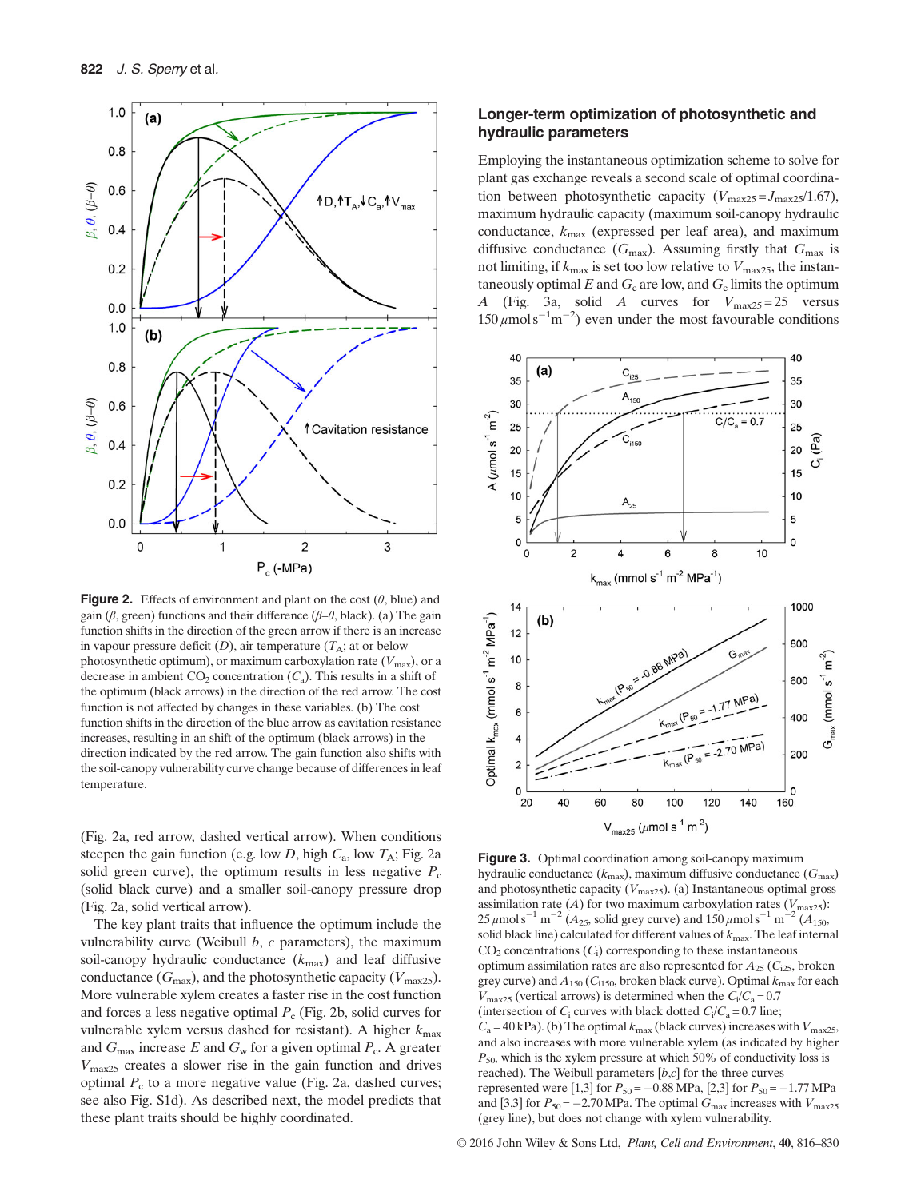

**Figure 2.** Effects of environment and plant on the cost  $(\theta, \text{blue})$  and gain (β, green) functions and their difference (β–θ, black). (a) The gain function shifts in the direction of the green arrow if there is an increase in vapour pressure deficit  $(D)$ , air temperature  $(T_A;$  at or below photosynthetic optimum), or maximum carboxylation rate  $(V_{\text{max}})$ , or a decrease in ambient  $CO_2$  concentration  $(C_a)$ . This results in a shift of the optimum (black arrows) in the direction of the red arrow. The cost function is not affected by changes in these variables. (b) The cost function shifts in the direction of the blue arrow as cavitation resistance increases, resulting in an shift of the optimum (black arrows) in the direction indicated by the red arrow. The gain function also shifts with the soil-canopy vulnerability curve change because of differences in leaf temperature.

(Fig. 2a, red arrow, dashed vertical arrow). When conditions steepen the gain function (e.g. low D, high  $C_a$ , low  $T_A$ ; Fig. 2a solid green curve), the optimum results in less negative  $P_c$ (solid black curve) and a smaller soil-canopy pressure drop (Fig. 2a, solid vertical arrow).

The key plant traits that influence the optimum include the vulnerability curve (Weibull  $b$ ,  $c$  parameters), the maximum soil-canopy hydraulic conductance  $(k_{\text{max}})$  and leaf diffusive conductance  $(G_{\text{max}})$ , and the photosynthetic capacity  $(V_{\text{max25}})$ . More vulnerable xylem creates a faster rise in the cost function and forces a less negative optimal  $P_c$  (Fig. 2b, solid curves for vulnerable xylem versus dashed for resistant). A higher  $k_{\text{max}}$ and  $G_{\text{max}}$  increase E and  $G_{\text{w}}$  for a given optimal  $P_{\text{c}}$ . A greater  $V_{\text{max25}}$  creates a slower rise in the gain function and drives optimal  $P_c$  to a more negative value (Fig. 2a, dashed curves; see also Fig. S1d). As described next, the model predicts that these plant traits should be highly coordinated.

# Longer-term optimization of photosynthetic and hydraulic parameters

Employing the instantaneous optimization scheme to solve for plant gas exchange reveals a second scale of optimal coordination between photosynthetic capacity  $(V_{\text{max25}} = J_{\text{max25}}/1.67)$ , maximum hydraulic capacity (maximum soil-canopy hydraulic conductance,  $k_{\text{max}}$  (expressed per leaf area), and maximum diffusive conductance  $(G_{\text{max}})$ . Assuming firstly that  $G_{\text{max}}$  is not limiting, if  $k_{\text{max}}$  is set too low relative to  $V_{\text{max25}}$ , the instantaneously optimal  $E$  and  $G_c$  are low, and  $G_c$  limits the optimum A (Fig. 3a, solid A curves for  $V_{\text{max25}} = 25$  versus  $150 \mu \text{mol s}^{-1} \text{m}^{-2}$ ) even under the most favourable conditions



Figure 3. Optimal coordination among soil-canopy maximum hydraulic conductance  $(k_{\text{max}})$ , maximum diffusive conductance  $(G_{\text{max}})$ and photosynthetic capacity ( $V_{\text{max25}}$ ). (a) Instantaneous optimal gross assimilation rate (A) for two maximum carboxylation rates ( $V_{\text{max25}}$ ):  $25 \mu$ mol s<sup>-1</sup> m<sup>-2</sup> (A<sub>25</sub>, solid grey curve) and  $150 \mu$ mol s<sup>-1</sup> m<sup>-2</sup> (A<sub>150</sub>, solid black line) calculated for different values of  $k_{\text{max}}$ . The leaf internal  $CO<sub>2</sub>$  concentrations  $(C<sub>i</sub>)$  corresponding to these instantaneous optimum assimilation rates are also represented for  $A_{25}$  ( $C_{125}$ , broken grey curve) and  $A_{150}$  (C<sub>i150</sub>, broken black curve). Optimal  $k_{\text{max}}$  for each  $V_{\text{max25}}$  (vertical arrows) is determined when the  $C_i/C_a = 0.7$ (intersection of  $C_i$  curves with black dotted  $C_i/C_a = 0.7$  line;  $C_a = 40$  kPa). (b) The optimal  $k_{\text{max}}$  (black curves) increases with  $V_{\text{max25}}$ , and also increases with more vulnerable xylem (as indicated by higher  $P_{50}$ , which is the xylem pressure at which 50% of conductivity loss is reached). The Weibull parameters  $[b,c]$  for the three curves represented were [1,3] for  $P_{50} = -0.88 \text{ MPa}$ , [2,3] for  $P_{50} = -1.77 \text{ MPa}$ and [3,3] for  $P_{50} = -2.70$  MPa. The optimal  $G_{\text{max}}$  increases with  $V_{\text{max25}}$ (grey line), but does not change with xylem vulnerability.

© 2016 John Wiley & Sons Ltd, Plant, Cell and Environment, 40, 816–830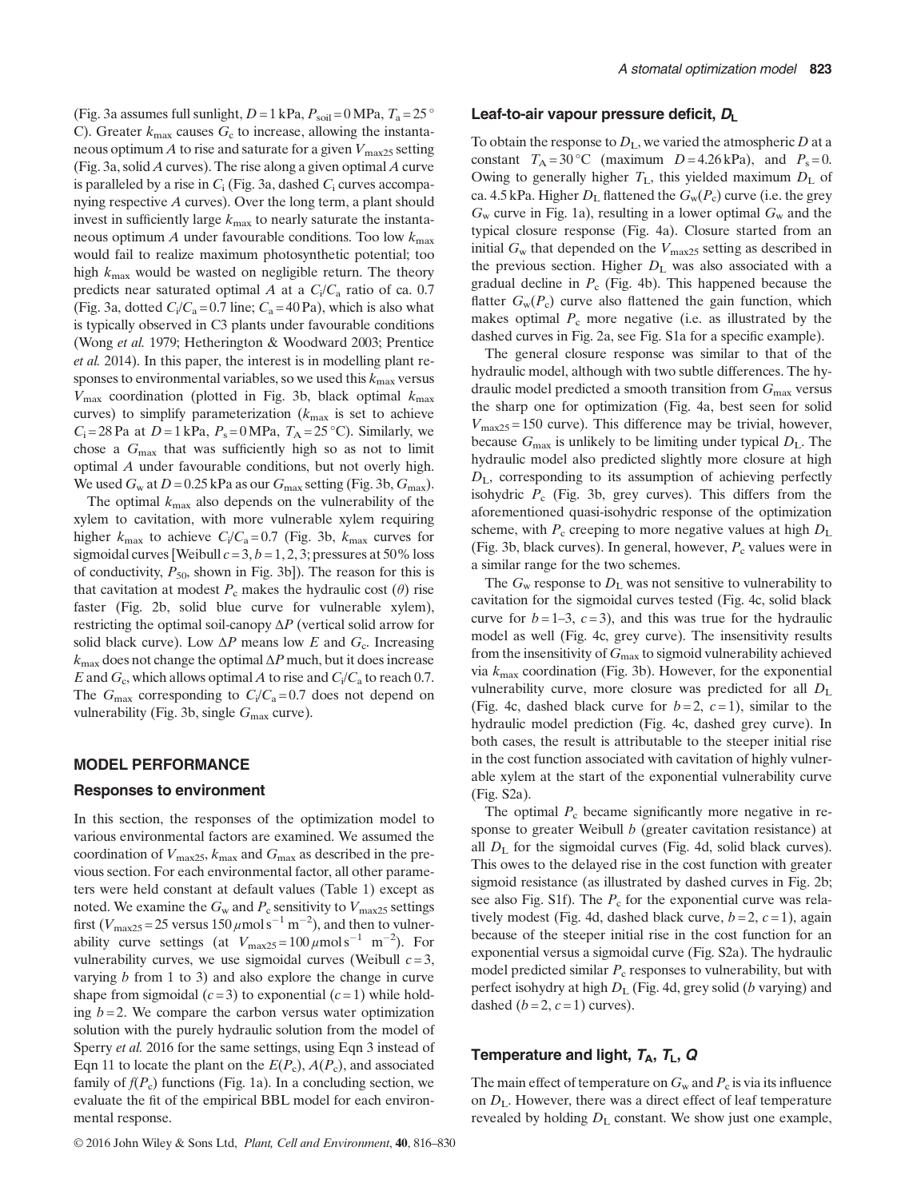(Fig. 3a assumes full sunlight,  $D = 1$  kPa,  $P_{\text{soil}} = 0$  MPa,  $T_a = 25$  ° C). Greater  $k_{\text{max}}$  causes  $G_c$  to increase, allowing the instantaneous optimum A to rise and saturate for a given  $V_{\text{max25}}$  setting (Fig. 3a, solid A curves). The rise along a given optimal A curve is paralleled by a rise in  $C_i$  (Fig. 3a, dashed  $C_i$  curves accompanying respective A curves). Over the long term, a plant should invest in sufficiently large  $k_{\text{max}}$  to nearly saturate the instantaneous optimum A under favourable conditions. Too low  $k_{\text{max}}$ would fail to realize maximum photosynthetic potential; too high  $k_{\text{max}}$  would be wasted on negligible return. The theory predicts near saturated optimal A at a  $C_i/C_a$  ratio of ca. 0.7 (Fig. 3a, dotted  $C_i/C_a = 0.7$  line;  $C_a = 40$  Pa), which is also what is typically observed in C3 plants under favourable conditions (Wong et al. 1979; Hetherington & Woodward 2003; Prentice et al. 2014). In this paper, the interest is in modelling plant responses to environmental variables, so we used this  $k_{\text{max}}$  versus  $V_{\text{max}}$  coordination (plotted in Fig. 3b, black optimal  $k_{\text{max}}$ curves) to simplify parameterization  $(k_{\text{max}}$  is set to achieve  $C_i = 28$  Pa at  $D = 1$  kPa,  $P_s = 0$  MPa,  $T_A = 25$  °C). Similarly, we chose a  $G_{\text{max}}$  that was sufficiently high so as not to limit optimal A under favourable conditions, but not overly high. We used  $G_w$  at  $D = 0.25$  kPa as our  $G_{max}$  setting (Fig. 3b,  $G_{max}$ ).

The optimal  $k_{\text{max}}$  also depends on the vulnerability of the xylem to cavitation, with more vulnerable xylem requiring higher  $k_{\text{max}}$  to achieve  $C_i/C_a = 0.7$  (Fig. 3b,  $k_{\text{max}}$  curves for sigmoidal curves [Weibull  $c = 3$ ,  $b = 1, 2, 3$ ; pressures at 50% loss of conductivity,  $P_{50}$ , shown in Fig. 3b]). The reason for this is that cavitation at modest  $P_c$  makes the hydraulic cost ( $\theta$ ) rise faster (Fig. 2b, solid blue curve for vulnerable xylem), restricting the optimal soil-canopy  $\Delta P$  (vertical solid arrow for solid black curve). Low  $\Delta P$  means low E and  $G_c$ . Increasing  $k_{\text{max}}$  does not change the optimal  $\Delta P$  much, but it does increase E and  $G_c$ , which allows optimal A to rise and  $C_i/C_a$  to reach 0.7. The  $G_{\text{max}}$  corresponding to  $C_i/C_a = 0.7$  does not depend on vulnerability (Fig. 3b, single  $G_{\text{max}}$  curve).

#### MODEL PERFORMANCE

#### Responses to environment

In this section, the responses of the optimization model to various environmental factors are examined. We assumed the coordination of  $V_{\text{max25}}$ ,  $k_{\text{max}}$  and  $G_{\text{max}}$  as described in the previous section. For each environmental factor, all other parameters were held constant at default values (Table 1) except as noted. We examine the  $G_w$  and  $P_c$  sensitivity to  $V_{\text{max25}}$  settings first ( $V_{\text{max25}} = 25$  versus  $150 \,\mu \text{mol s}^{-1} \text{ m}^{-2}$ ), and then to vulnerability curve settings (at  $V_{\text{max25}} = 100 \,\mu\text{mol s}^{-1} \text{ m}^{-2}$ ). For vulnerability curves, we use sigmoidal curves (Weibull  $c = 3$ , varying b from 1 to 3) and also explore the change in curve shape from sigmoidal  $(c=3)$  to exponential  $(c=1)$  while holding  $b = 2$ . We compare the carbon versus water optimization solution with the purely hydraulic solution from the model of Sperry *et al.* 2016 for the same settings, using Eqn 3 instead of Eqn 11 to locate the plant on the  $E(P_c)$ ,  $A(P_c)$ , and associated family of  $f(P_c)$  functions (Fig. 1a). In a concluding section, we evaluate the fit of the empirical BBL model for each environmental response.

#### Leaf-to-air vapour pressure deficit,  $D_L$

To obtain the response to  $D<sub>L</sub>$ , we varied the atmospheric D at a constant  $T_A = 30$  °C (maximum  $D = 4.26$  kPa), and  $P_s = 0$ . Owing to generally higher  $T_L$ , this yielded maximum  $D_L$  of ca. 4.5 kPa. Higher  $D_L$  flattened the  $G_w(P_c)$  curve (i.e. the grey  $G_w$  curve in Fig. 1a), resulting in a lower optimal  $G_w$  and the typical closure response (Fig. 4a). Closure started from an initial  $G_w$  that depended on the  $V_{\text{max25}}$  setting as described in the previous section. Higher  $D<sub>L</sub>$  was also associated with a gradual decline in  $P_c$  (Fig. 4b). This happened because the flatter  $G_w(P_c)$  curve also flattened the gain function, which makes optimal  $P_c$  more negative (i.e. as illustrated by the dashed curves in Fig. 2a, see Fig. S1a for a specific example).

The general closure response was similar to that of the hydraulic model, although with two subtle differences. The hydraulic model predicted a smooth transition from  $G_{\text{max}}$  versus the sharp one for optimization (Fig. 4a, best seen for solid  $V_{\text{max25}} = 150$  curve). This difference may be trivial, however, because  $G_{\text{max}}$  is unlikely to be limiting under typical  $D_{\text{L}}$ . The hydraulic model also predicted slightly more closure at high  $D_{\text{L}}$ , corresponding to its assumption of achieving perfectly isohydric  $P_c$  (Fig. 3b, grey curves). This differs from the aforementioned quasi-isohydric response of the optimization scheme, with  $P_c$  creeping to more negative values at high  $D<sub>L</sub>$ (Fig. 3b, black curves). In general, however,  $P_c$  values were in a similar range for the two schemes.

The  $G_w$  response to  $D_L$  was not sensitive to vulnerability to cavitation for the sigmoidal curves tested (Fig. 4c, solid black curve for  $b = 1-3$ ,  $c = 3$ ), and this was true for the hydraulic model as well (Fig. 4c, grey curve). The insensitivity results from the insensitivity of  $G_{\text{max}}$  to sigmoid vulnerability achieved via  $k_{\text{max}}$  coordination (Fig. 3b). However, for the exponential vulnerability curve, more closure was predicted for all  $D_{\rm L}$ (Fig. 4c, dashed black curve for  $b=2$ ,  $c=1$ ), similar to the hydraulic model prediction (Fig. 4c, dashed grey curve). In both cases, the result is attributable to the steeper initial rise in the cost function associated with cavitation of highly vulnerable xylem at the start of the exponential vulnerability curve (Fig. S2a).

The optimal  $P_c$  became significantly more negative in response to greater Weibull  $b$  (greater cavitation resistance) at all  $D<sub>L</sub>$  for the sigmoidal curves (Fig. 4d, solid black curves). This owes to the delayed rise in the cost function with greater sigmoid resistance (as illustrated by dashed curves in Fig. 2b; see also Fig. S1f). The  $P_c$  for the exponential curve was relatively modest (Fig. 4d, dashed black curve,  $b = 2$ ,  $c = 1$ ), again because of the steeper initial rise in the cost function for an exponential versus a sigmoidal curve (Fig. S2a). The hydraulic model predicted similar  $P_c$  responses to vulnerability, but with perfect isohydry at high  $D<sub>L</sub>$  (Fig. 4d, grey solid (*b* varying) and dashed  $(b=2, c=1)$  curves).

# Temperature and light,  $T_A$ ,  $T_L$ , Q

The main effect of temperature on  $G_w$  and  $P_c$  is via its influence on  $D_L$ . However, there was a direct effect of leaf temperature revealed by holding  $D<sub>L</sub>$  constant. We show just one example,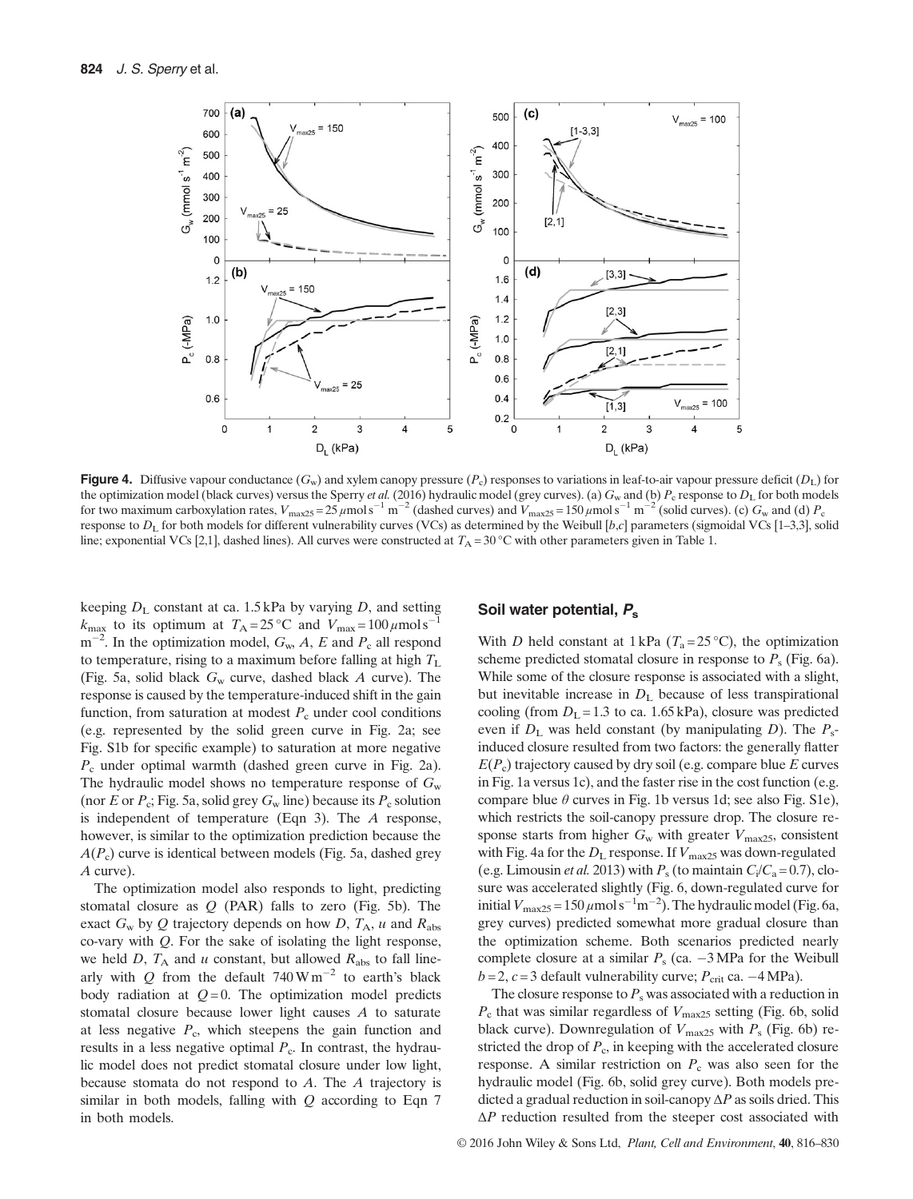

**Figure 4.** Diffusive vapour conductance  $(G_w)$  and xylem canopy pressure  $(P_c)$  responses to variations in leaf-to-air vapour pressure deficit  $(D<sub>L</sub>)$  for the optimization model (black curves) versus the Sperry *et al.* (2016) hydraulic model (grey curves). (a)  $G_w$  and (b)  $P_c$  response to  $D<sub>L</sub>$  for both models for two maximum carboxylation rates,  $V_{\text{max25}} = 25 \,\mu\text{mol s}^{-1} \text{ m}^{-2}$  (dashed curves) and  $V_{\text{max25}} = 150 \,\mu\text{mol s}^{-1} \text{ m}^{-2}$  (solid curves). (c)  $G_{\text{w}}$  and (d)  $P_{\text{c}}$ response to  $D_L$  for both models for different vulnerability curves (VCs) as determined by the Weibull [b,c] parameters (sigmoidal VCs [1–3,3], solid line; exponential VCs [2,1], dashed lines). All curves were constructed at  $T_A = 30^{\circ}$ C with other parameters given in Table 1.

keeping  $D<sub>L</sub>$  constant at ca. 1.5 kPa by varying D, and setting  $k_{\text{max}}$  to its optimum at  $T_A = 25 \degree \text{C}$  and  $V_{\text{max}} = 100 \ \mu \text{mol s}$  $m^{-2}$ . In the optimization model,  $G_w$ , A, E and  $P_c$  all respond to temperature, rising to a maximum before falling at high  $T_{\text{L}}$ (Fig. 5a, solid black  $G_w$  curve, dashed black A curve). The response is caused by the temperature-induced shift in the gain function, from saturation at modest  $P_c$  under cool conditions (e.g. represented by the solid green curve in Fig. 2a; see Fig. S1b for specific example) to saturation at more negative  $P_c$  under optimal warmth (dashed green curve in Fig. 2a). The hydraulic model shows no temperature response of  $G_w$ (nor E or  $P_c$ ; Fig. 5a, solid grey  $G_w$  line) because its  $P_c$  solution is independent of temperature (Eqn 3). The A response, however, is similar to the optimization prediction because the  $A(P_c)$  curve is identical between models (Fig. 5a, dashed grey A curve).

The optimization model also responds to light, predicting stomatal closure as  $Q$  (PAR) falls to zero (Fig. 5b). The exact  $G_w$  by Q trajectory depends on how D,  $T_A$ , u and  $R_{\text{abs}}$ co-vary with Q. For the sake of isolating the light response, we held D,  $T_A$  and u constant, but allowed  $R_{\text{abs}}$  to fall linearly with Q from the default  $740 \,\mathrm{W\,m}^{-2}$  to earth's black body radiation at  $Q=0$ . The optimization model predicts stomatal closure because lower light causes A to saturate at less negative  $P_c$ , which steepens the gain function and results in a less negative optimal  $P_c$ . In contrast, the hydraulic model does not predict stomatal closure under low light, because stomata do not respond to A. The A trajectory is similar in both models, falling with  $Q$  according to Eqn  $7$ in both models.

#### Soil water potential, P.

With D held constant at 1 kPa ( $T_a = 25$ °C), the optimization scheme predicted stomatal closure in response to  $P_s$  (Fig. 6a). While some of the closure response is associated with a slight, but inevitable increase in  $D_{\rm L}$  because of less transpirational cooling (from  $D<sub>L</sub> = 1.3$  to ca. 1.65 kPa), closure was predicted even if  $D_L$  was held constant (by manipulating D). The  $P_s$ induced closure resulted from two factors: the generally flatter  $E(P_c)$  trajectory caused by dry soil (e.g. compare blue E curves in Fig. 1a versus 1c), and the faster rise in the cost function (e.g. compare blue  $\theta$  curves in Fig. 1b versus 1d; see also Fig. S1e), which restricts the soil-canopy pressure drop. The closure response starts from higher  $G_w$  with greater  $V_{\text{max25}}$ , consistent with Fig. 4a for the  $D_L$  response. If  $V_{\text{max25}}$  was down-regulated (e.g. Limousin *et al.* 2013) with  $P_s$  (to maintain  $C_i/C_a = 0.7$ ), closure was accelerated slightly (Fig. 6, down-regulated curve for initial  $V_{\text{max25}} = 150 \,\mu\text{mol s}^{-1}\text{m}^{-2}$ ). The hydraulic model (Fig. 6a, grey curves) predicted somewhat more gradual closure than the optimization scheme. Both scenarios predicted nearly complete closure at a similar  $P_s$  (ca.  $-3$  MPa for the Weibull  $b = 2$ ,  $c = 3$  default vulnerability curve;  $P_{\text{crit}}$  ca.  $-4$  MPa).

The closure response to  $P_s$  was associated with a reduction in  $P_c$  that was similar regardless of  $V_{\text{max25}}$  setting (Fig. 6b, solid black curve). Downregulation of  $V_{\text{max25}}$  with  $P_{\text{s}}$  (Fig. 6b) restricted the drop of  $P_c$ , in keeping with the accelerated closure response. A similar restriction on  $P_c$  was also seen for the hydraulic model (Fig. 6b, solid grey curve). Both models predicted a gradual reduction in soil-canopy  $\Delta P$  as soils dried. This  $\Delta P$  reduction resulted from the steeper cost associated with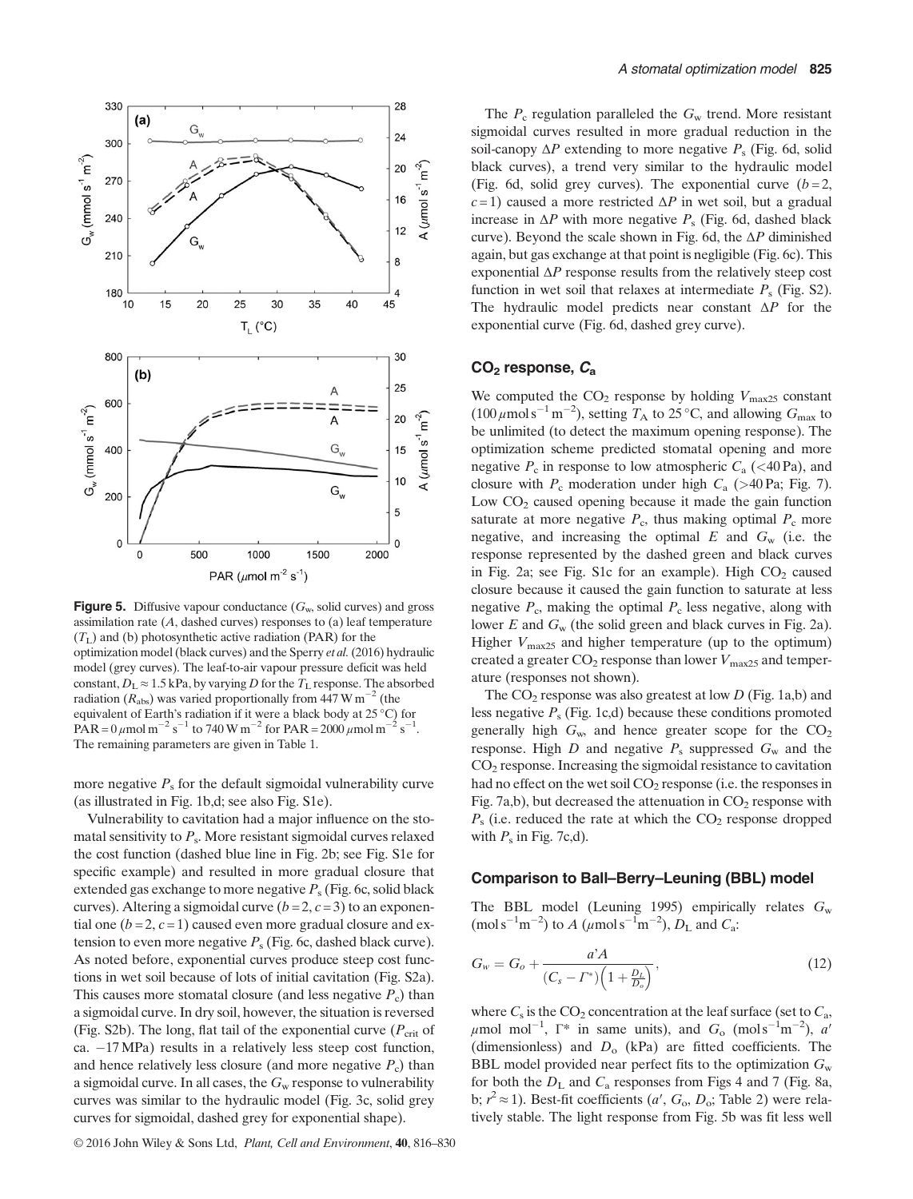

**Figure 5.** Diffusive vapour conductance  $(G_w, \text{ solid curves})$  and gross assimilation rate  $(A,$  dashed curves) responses to  $(a)$  leaf temperature  $(T<sub>L</sub>)$  and (b) photosynthetic active radiation (PAR) for the optimization model (black curves) and the Sperry et al.(2016) hydraulic model (grey curves). The leaf-to-air vapour pressure deficit was held constant,  $D_L \approx 1.5$  kPa, by varying D for the  $T_L$  response. The absorbed radiation ( $R_{\text{abs}}$ ) was varied proportionally from 447 W m<sup>-2</sup> (the equivalent of Earth's radiation if it were a black body at 25 °C) for PAR =  $0 \mu$ mol m<sup>-2</sup> s<sup>-1</sup> to 740 W m<sup>-2</sup> for PAR =  $2000 \mu$ mol m<sup>-2</sup> s<sup>-1</sup>. The remaining parameters are given in Table 1.

more negative  $P_s$  for the default sigmoidal vulnerability curve (as illustrated in Fig. 1b,d; see also Fig. S1e).

Vulnerability to cavitation had a major influence on the stomatal sensitivity to  $P_s$ . More resistant sigmoidal curves relaxed the cost function (dashed blue line in Fig. 2b; see Fig. S1e for specific example) and resulted in more gradual closure that extended gas exchange to more negative  $P_s$  (Fig. 6c, solid black curves). Altering a sigmoidal curve  $(b=2, c=3)$  to an exponential one ( $b = 2$ ,  $c = 1$ ) caused even more gradual closure and extension to even more negative  $P_s$  (Fig. 6c, dashed black curve). As noted before, exponential curves produce steep cost functions in wet soil because of lots of initial cavitation (Fig. S2a). This causes more stomatal closure (and less negative  $P_c$ ) than a sigmoidal curve. In dry soil, however, the situation is reversed (Fig. S2b). The long, flat tail of the exponential curve ( $P_{\rm crit}$  of ca.  $-17$  MPa) results in a relatively less steep cost function, and hence relatively less closure (and more negative  $P_c$ ) than a sigmoidal curve. In all cases, the  $G_w$  response to vulnerability curves was similar to the hydraulic model (Fig. 3c, solid grey curves for sigmoidal, dashed grey for exponential shape).

The  $P_c$  regulation paralleled the  $G_w$  trend. More resistant sigmoidal curves resulted in more gradual reduction in the soil-canopy  $\Delta P$  extending to more negative  $P_s$  (Fig. 6d, solid black curves), a trend very similar to the hydraulic model (Fig. 6d, solid grey curves). The exponential curve  $(b=2, 1)$  $c=1$ ) caused a more restricted  $\Delta P$  in wet soil, but a gradual increase in  $\Delta P$  with more negative  $P_s$  (Fig. 6d, dashed black curve). Beyond the scale shown in Fig. 6d, the  $\Delta P$  diminished again, but gas exchange at that point is negligible (Fig. 6c). This exponential  $\Delta P$  response results from the relatively steep cost function in wet soil that relaxes at intermediate  $P_s$  (Fig. S2). The hydraulic model predicts near constant  $\Delta P$  for the exponential curve (Fig. 6d, dashed grey curve).

#### $CO<sub>2</sub>$  response,  $C<sub>a</sub>$

We computed the  $CO_2$  response by holding  $V_{\text{max25}}$  constant  $(100 \,\mu\text{mol s}^{-1}\text{m}^{-2})$ , setting  $T_A$  to 25 °C, and allowing  $G_{\text{max}}$  to be unlimited (to detect the maximum opening response). The optimization scheme predicted stomatal opening and more negative  $P_c$  in response to low atmospheric  $C_a$  (<40 Pa), and closure with  $P_c$  moderation under high  $C_a$  (>40 Pa; Fig. 7). Low  $CO<sub>2</sub>$  caused opening because it made the gain function saturate at more negative  $P_c$ , thus making optimal  $P_c$  more negative, and increasing the optimal  $E$  and  $G_w$  (i.e. the response represented by the dashed green and black curves in Fig. 2a; see Fig. S1c for an example). High  $CO<sub>2</sub>$  caused closure because it caused the gain function to saturate at less negative  $P_c$ , making the optimal  $P_c$  less negative, along with lower  $E$  and  $G_w$  (the solid green and black curves in Fig. 2a). Higher  $V_{\text{max25}}$  and higher temperature (up to the optimum) created a greater  $CO_2$  response than lower  $V_{\text{max25}}$  and temperature (responses not shown).

The  $CO_2$  response was also greatest at low D (Fig. 1a,b) and less negative  $P_s$  (Fig. 1c,d) because these conditions promoted generally high  $G_w$ , and hence greater scope for the  $CO<sub>2</sub>$ response. High  $D$  and negative  $P_s$  suppressed  $G_w$  and the CO2 response. Increasing the sigmoidal resistance to cavitation had no effect on the wet soil  $CO<sub>2</sub>$  response (i.e. the responses in Fig. 7a,b), but decreased the attenuation in  $CO<sub>2</sub>$  response with  $P_s$  (i.e. reduced the rate at which the  $CO_2$  response dropped with  $P_s$  in Fig. 7c,d).

#### Comparison to Ball–Berry–Leuning (BBL) model

The BBL model (Leuning 1995) empirically relates  $G_w$ (mol s<sup>-1</sup>m<sup>-2</sup>) to A ( $\mu$ mol s<sup>-1</sup>m<sup>-2</sup>),  $D_L$  and  $C_a$ :

$$
G_w = G_o + \frac{a^2 A}{(C_s - \Gamma^*) \left(1 + \frac{D_L}{D_o}\right)},
$$
\n(12)

where  $C_s$  is the CO<sub>2</sub> concentration at the leaf surface (set to  $C_a$ ,  $\mu$ mol mol<sup>-1</sup>,  $\Gamma^*$  in same units), and  $G_o$  (mols<sup>-1</sup>m<sup>-2</sup>), a<sup>'</sup> (dimensionless) and  $D_0$  (kPa) are fitted coefficients. The BBL model provided near perfect fits to the optimization  $G_w$ for both the  $D<sub>L</sub>$  and  $C<sub>a</sub>$  responses from Figs 4 and 7 (Fig. 8a, b;  $r^2 \approx 1$ ). Best-fit coefficients (a', G<sub>o</sub>, D<sub>o</sub>; Table 2) were relatively stable. The light response from Fig. 5b was fit less well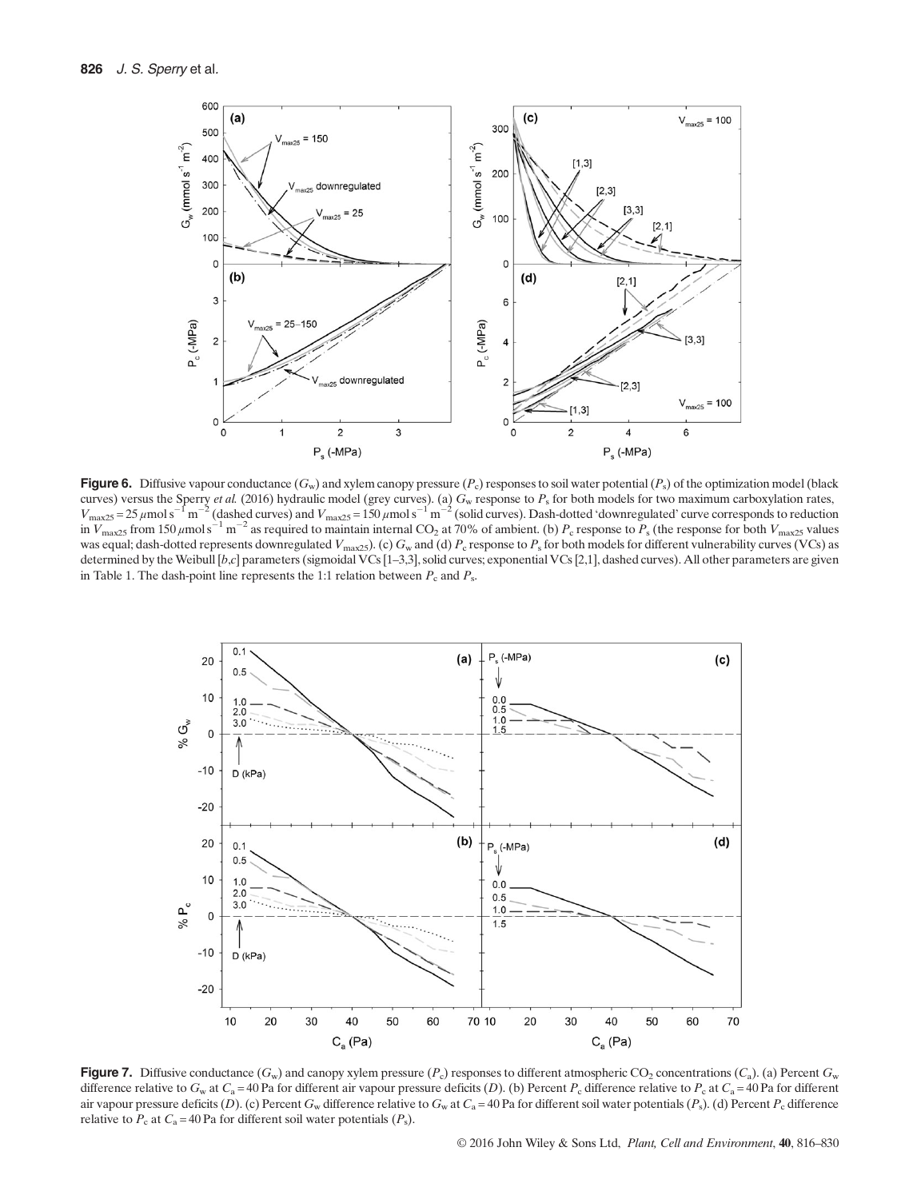

**Figure 6.** Diffusive vapour conductance  $(G_w)$  and xylem canopy pressure  $(P_c)$  responses to soil water potential  $(P_s)$  of the optimization model (black curves) versus the Sperry et al. (2016) hydraulic model (grey curves). (a)  $G_w$  response to  $P_s$  for both models for two maximum carboxylation rates,  $V_{\text{max25}} = 25 \,\mu\text{mol s}^{-1}\text{m}^{-2}$  (dashed curves) and  $V_{\text{max25}} = 150 \,\mu\text{mol s}^{-1}\text{m}^{-2}$  (solid curves). Dash-dotted 'downregulated' curve corresponds to reduction in  $V_{\text{max25}}$  from 150  $\mu$ mol s<sup>-1</sup> m<sup>-2</sup> as required to maintain internal CO<sub>2</sub> at 70% of ambient. (b)  $P_c$  response to  $P_s$  (the response for both  $V_{\text{max25}}$  values was equal; dash-dotted represents downregulated  $V_{\text{max25}}$ . (c)  $G_{\text{w}}$  and (d)  $P_{\text{c}}$  response to  $P_{\text{s}}$  for both models for different vulnerability curves (VCs) as determined by the Weibull [b,c] parameters (sigmoidal VCs [1–3,3], solid curves; exponential VCs [2,1], dashed curves). All other parameters are given in Table 1. The dash-point line represents the 1:1 relation between  $P_c$  and  $P_s$ .



**Figure 7.** Diffusive conductance  $(G_w)$  and canopy xylem pressure  $(P_c)$  responses to different atmospheric CO<sub>2</sub> concentrations  $(C_a)$ . (a) Percent  $G_w$ difference relative to  $G_w$  at  $C_a = 40$  Pa for different air vapour pressure deficits (D). (b) Percent  $P_c$  difference relative to  $P_c$  at  $C_a = 40$  Pa for different air vapour pressure deficits (D). (c) Percent G<sub>w</sub> difference relative to G<sub>w</sub> at C<sub>a</sub> = 40 Pa for different soil water potentials (P<sub>s</sub>). (d) Percent P<sub>c</sub> difference relative to  $P_c$  at  $C_a = 40$  Pa for different soil water potentials  $(P_s)$ .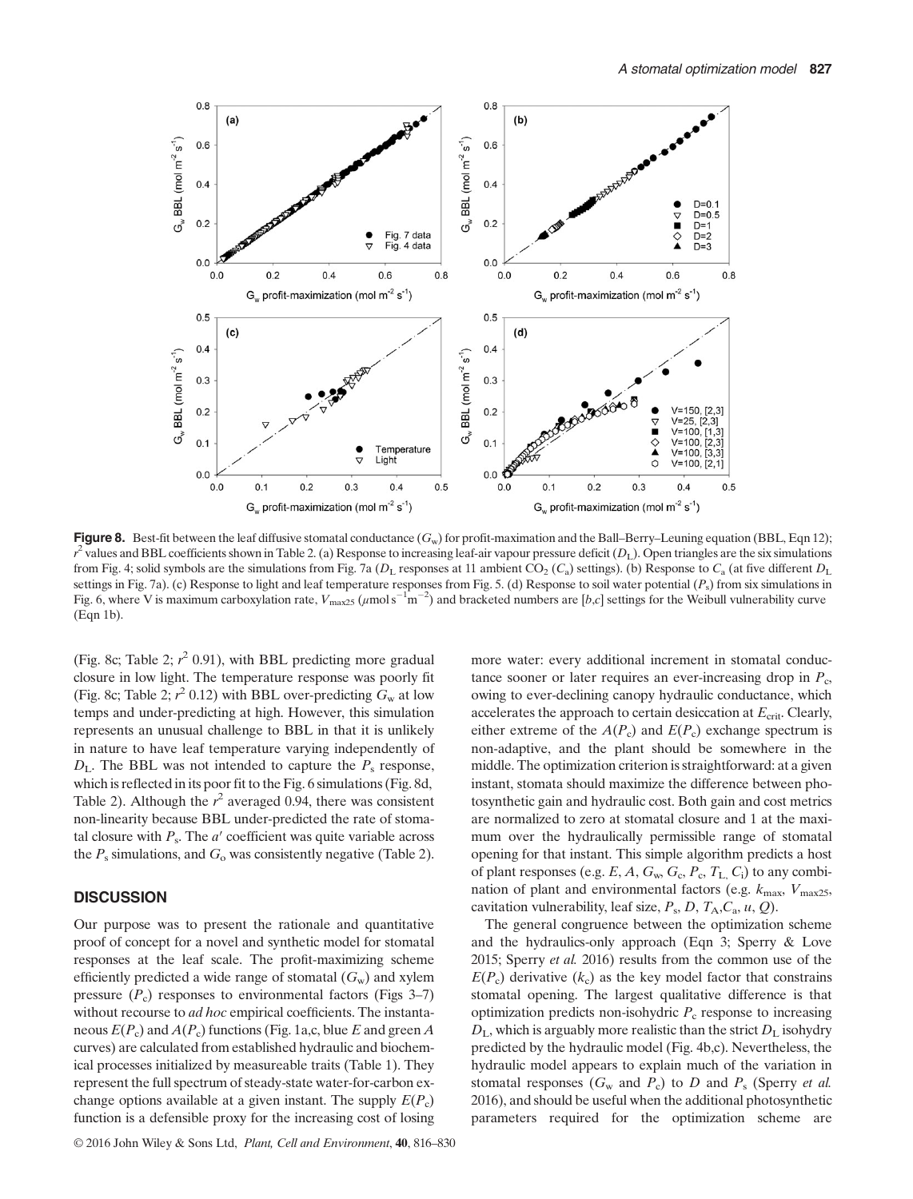

Figure 8. Best-fit between the leaf diffusive stomatal conductance  $(G_w)$  for profit-maximation and the Ball–Berry–Leuning equation (BBL, Eqn 12);  $r^2$  values and BBL coefficients shown in Table 2. (a) Response to increasing leaf-air vapour pressure deficit ( $D_L$ ). Open triangles are the six simulations from Fig. 4; solid symbols are the simulations from Fig. 7a ( $D_L$  responses at 11 ambient CO<sub>2</sub> (C<sub>a</sub>) settings). (b) Response to C<sub>a</sub> (at five different  $D_L$ settings in Fig. 7a). (c) Response to light and leaf temperature responses from Fig. 5. (d) Response to soil water potential  $(P_s)$  from six simulations in Fig. 6, where V is maximum carboxylation rate,  $V_{\text{max25}} (\mu \text{mol s}^{-1} \text{m}^{-2})$  and bracketed numbers are [b,c] settings for the Weibull vulnerability curve (Eqn 1b).

(Fig. 8c; Table 2;  $r^2$  0.91), with BBL predicting more gradual closure in low light. The temperature response was poorly fit (Fig. 8c; Table 2;  $r^2$  0.12) with BBL over-predicting  $G_w$  at low temps and under-predicting at high. However, this simulation represents an unusual challenge to BBL in that it is unlikely in nature to have leaf temperature varying independently of  $D_{\text{L}}$ . The BBL was not intended to capture the  $P_{\text{s}}$  response, which is reflected in its poor fit to the Fig. 6 simulations (Fig. 8d, Table 2). Although the  $r^2$  averaged 0.94, there was consistent non-linearity because BBL under-predicted the rate of stomatal closure with  $P_s$ . The  $a'$  coefficient was quite variable across the  $P_s$  simulations, and  $G_o$  was consistently negative (Table 2).

#### **DISCUSSION**

Our purpose was to present the rationale and quantitative proof of concept for a novel and synthetic model for stomatal responses at the leaf scale. The profit-maximizing scheme efficiently predicted a wide range of stomatal  $(G_w)$  and xylem pressure  $(P_c)$  responses to environmental factors (Figs 3–7) without recourse to ad hoc empirical coefficients. The instantaneous  $E(P_c)$  and  $A(P_c)$  functions (Fig. 1a,c, blue E and green A curves) are calculated from established hydraulic and biochemical processes initialized by measureable traits (Table 1). They represent the full spectrum of steady-state water-for-carbon exchange options available at a given instant. The supply  $E(P_c)$ function is a defensible proxy for the increasing cost of losing more water: every additional increment in stomatal conductance sooner or later requires an ever-increasing drop in  $P_c$ , owing to ever-declining canopy hydraulic conductance, which accelerates the approach to certain desiccation at  $E_{\text{crit}}$ . Clearly, either extreme of the  $A(P_c)$  and  $E(P_c)$  exchange spectrum is non-adaptive, and the plant should be somewhere in the middle. The optimization criterion is straightforward: at a given instant, stomata should maximize the difference between photosynthetic gain and hydraulic cost. Both gain and cost metrics are normalized to zero at stomatal closure and 1 at the maximum over the hydraulically permissible range of stomatal opening for that instant. This simple algorithm predicts a host of plant responses (e.g.  $E$ ,  $A$ ,  $G_w$ ,  $G_c$ ,  $P_c$ ,  $T_L$ ,  $C_i$ ) to any combination of plant and environmental factors (e.g.  $k_{\text{max}}$ ,  $V_{\text{max25}}$ , cavitation vulnerability, leaf size,  $P_s$ ,  $D$ ,  $T_A$ ,  $C_a$ ,  $u$ ,  $Q$ ).

The general congruence between the optimization scheme and the hydraulics-only approach (Eqn 3; Sperry & Love 2015; Sperry et al. 2016) results from the common use of the  $E(P_c)$  derivative  $(k_c)$  as the key model factor that constrains stomatal opening. The largest qualitative difference is that optimization predicts non-isohydric  $P_c$  response to increasing  $D_{\rm L}$ , which is arguably more realistic than the strict  $D_{\rm L}$  isohydry predicted by the hydraulic model (Fig. 4b,c). Nevertheless, the hydraulic model appears to explain much of the variation in stomatal responses  $(G_w$  and  $P_c$ ) to D and  $P_s$  (Sperry et al. 2016), and should be useful when the additional photosynthetic parameters required for the optimization scheme are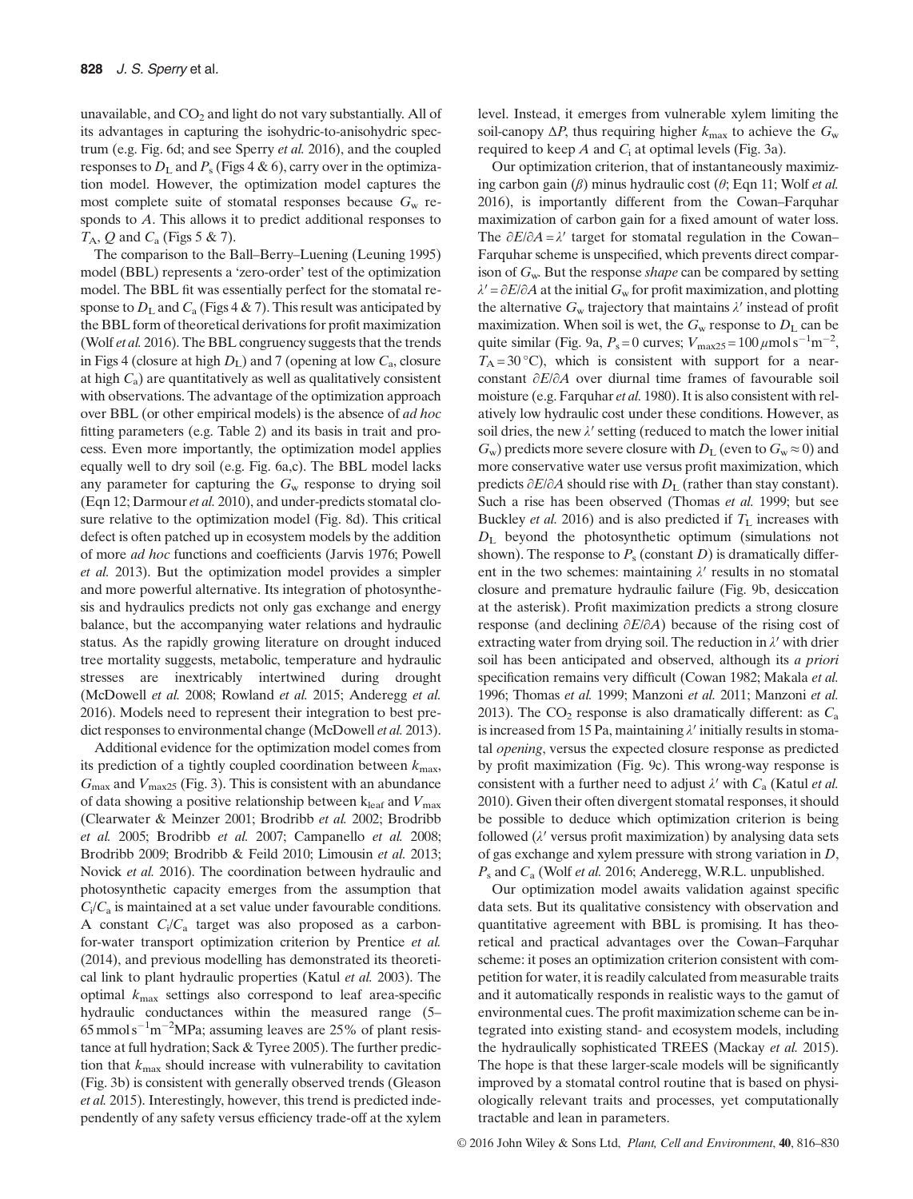unavailable, and  $CO<sub>2</sub>$  and light do not vary substantially. All of its advantages in capturing the isohydric-to-anisohydric spectrum (e.g. Fig. 6d; and see Sperry et al. 2016), and the coupled responses to  $D<sub>L</sub>$  and  $P<sub>s</sub>$  (Figs 4 & 6), carry over in the optimization model. However, the optimization model captures the most complete suite of stomatal responses because  $G_w$  responds to A. This allows it to predict additional responses to  $T_A$ , Q and  $C_a$  (Figs 5 & 7).

The comparison to the Ball–Berry–Luening (Leuning 1995) model (BBL) represents a 'zero-order' test of the optimization model. The BBL fit was essentially perfect for the stomatal response to  $D<sub>L</sub>$  and  $C<sub>a</sub>$  (Figs 4 & 7). This result was anticipated by the BBL form of theoretical derivations for profit maximization (Wolf et al. 2016). The BBL congruency suggests that the trends in Figs 4 (closure at high  $D<sub>L</sub>$ ) and 7 (opening at low  $C<sub>a</sub>$ , closure at high  $C_a$ ) are quantitatively as well as qualitatively consistent with observations. The advantage of the optimization approach over BBL (or other empirical models) is the absence of ad hoc fitting parameters (e.g. Table 2) and its basis in trait and process. Even more importantly, the optimization model applies equally well to dry soil (e.g. Fig. 6a,c). The BBL model lacks any parameter for capturing the  $G_w$  response to drying soil (Eqn 12; Darmour et al. 2010), and under-predicts stomatal closure relative to the optimization model (Fig. 8d). This critical defect is often patched up in ecosystem models by the addition of more ad hoc functions and coefficients (Jarvis 1976; Powell et al. 2013). But the optimization model provides a simpler and more powerful alternative. Its integration of photosynthesis and hydraulics predicts not only gas exchange and energy balance, but the accompanying water relations and hydraulic status. As the rapidly growing literature on drought induced tree mortality suggests, metabolic, temperature and hydraulic stresses are inextricably intertwined during drought (McDowell et al. 2008; Rowland et al. 2015; Anderegg et al. 2016). Models need to represent their integration to best predict responses to environmental change (McDowell et al. 2013).

Additional evidence for the optimization model comes from its prediction of a tightly coupled coordination between  $k_{\text{max}}$ ,  $G_{\text{max}}$  and  $V_{\text{max25}}$  (Fig. 3). This is consistent with an abundance of data showing a positive relationship between  $k_{\text{leaf}}$  and  $V_{\text{max}}$ (Clearwater & Meinzer 2001; Brodribb et al. 2002; Brodribb et al. 2005; Brodribb et al. 2007; Campanello et al. 2008; Brodribb 2009; Brodribb & Feild 2010; Limousin et al. 2013; Novick et al. 2016). The coordination between hydraulic and photosynthetic capacity emerges from the assumption that  $C_i/C_a$  is maintained at a set value under favourable conditions. A constant  $C_i/C_a$  target was also proposed as a carbonfor-water transport optimization criterion by Prentice et al. (2014), and previous modelling has demonstrated its theoretical link to plant hydraulic properties (Katul et al. 2003). The optimal  $k_{\text{max}}$  settings also correspond to leaf area-specific hydraulic conductances within the measured range (5–  $65$  mmol s<sup>-1</sup>m<sup>-2</sup>MPa; assuming leaves are 25% of plant resistance at full hydration; Sack & Tyree 2005). The further prediction that  $k_{\text{max}}$  should increase with vulnerability to cavitation (Fig. 3b) is consistent with generally observed trends (Gleason et al. 2015). Interestingly, however, this trend is predicted independently of any safety versus efficiency trade-off at the xylem level. Instead, it emerges from vulnerable xylem limiting the soil-canopy  $\Delta P$ , thus requiring higher  $k_{\text{max}}$  to achieve the  $G_w$ required to keep  $A$  and  $C_i$  at optimal levels (Fig. 3a).

Our optimization criterion, that of instantaneously maximizing carbon gain  $(\beta)$  minus hydraulic cost  $(\theta)$ ; Eqn 11; Wolf et al. 2016), is importantly different from the Cowan–Farquhar maximization of carbon gain for a fixed amount of water loss. The  $\partial E/\partial A = \lambda'$  target for stomatal regulation in the Cowan– Farquhar scheme is unspecified, which prevents direct comparison of  $G_w$ . But the response *shape* can be compared by setting  $\lambda' = \partial E / \partial A$  at the initial  $G_w$  for profit maximization, and plotting the alternative  $G_w$  trajectory that maintains  $\lambda'$  instead of profit maximization. When soil is wet, the  $G_w$  response to  $D<sub>L</sub>$  can be quite similar (Fig. 9a,  $P_s = 0$  curves;  $V_{\text{max25}} = 100 \,\mu \text{mol s}^{-1} \text{m}^{-2}$ ,  $T_A = 30 \degree C$ , which is consistent with support for a nearconstant ∂E/∂A over diurnal time frames of favourable soil moisture (e.g. Farquhar *et al.* 1980). It is also consistent with relatively low hydraulic cost under these conditions. However, as soil dries, the new  $\lambda'$  setting (reduced to match the lower initial  $G_w$ ) predicts more severe closure with  $D_L$  (even to  $G_w \approx 0$ ) and more conservative water use versus profit maximization, which predicts  $\partial E/\partial A$  should rise with  $D_{\rm L}$  (rather than stay constant). Such a rise has been observed (Thomas et al. 1999; but see Buckley *et al.* 2016) and is also predicted if  $T<sub>L</sub>$  increases with  $D_{\text{L}}$  beyond the photosynthetic optimum (simulations not shown). The response to  $P_s$  (constant D) is dramatically different in the two schemes: maintaining  $\lambda'$  results in no stomatal closure and premature hydraulic failure (Fig. 9b, desiccation at the asterisk). Profit maximization predicts a strong closure response (and declining ∂E/∂A) because of the rising cost of extracting water from drying soil. The reduction in  $\lambda'$  with drier soil has been anticipated and observed, although its a priori specification remains very difficult (Cowan 1982; Makala et al. 1996; Thomas et al. 1999; Manzoni et al. 2011; Manzoni et al. 2013). The  $CO_2$  response is also dramatically different: as  $C_a$ is increased from 15 Pa, maintaining  $\lambda'$  initially results in stomatal opening, versus the expected closure response as predicted by profit maximization (Fig. 9c). This wrong-way response is consistent with a further need to adjust  $\lambda'$  with  $C_a$  (Katul et al. 2010). Given their often divergent stomatal responses, it should be possible to deduce which optimization criterion is being followed  $(\lambda'$  versus profit maximization) by analysing data sets of gas exchange and xylem pressure with strong variation in D,  $P_s$  and  $C_a$  (Wolf *et al.* 2016; Anderegg, W.R.L. unpublished.

Our optimization model awaits validation against specific data sets. But its qualitative consistency with observation and quantitative agreement with BBL is promising. It has theoretical and practical advantages over the Cowan–Farquhar scheme: it poses an optimization criterion consistent with competition for water, it is readily calculated from measurable traits and it automatically responds in realistic ways to the gamut of environmental cues. The profit maximization scheme can be integrated into existing stand- and ecosystem models, including the hydraulically sophisticated TREES (Mackay et al. 2015). The hope is that these larger-scale models will be significantly improved by a stomatal control routine that is based on physiologically relevant traits and processes, yet computationally tractable and lean in parameters.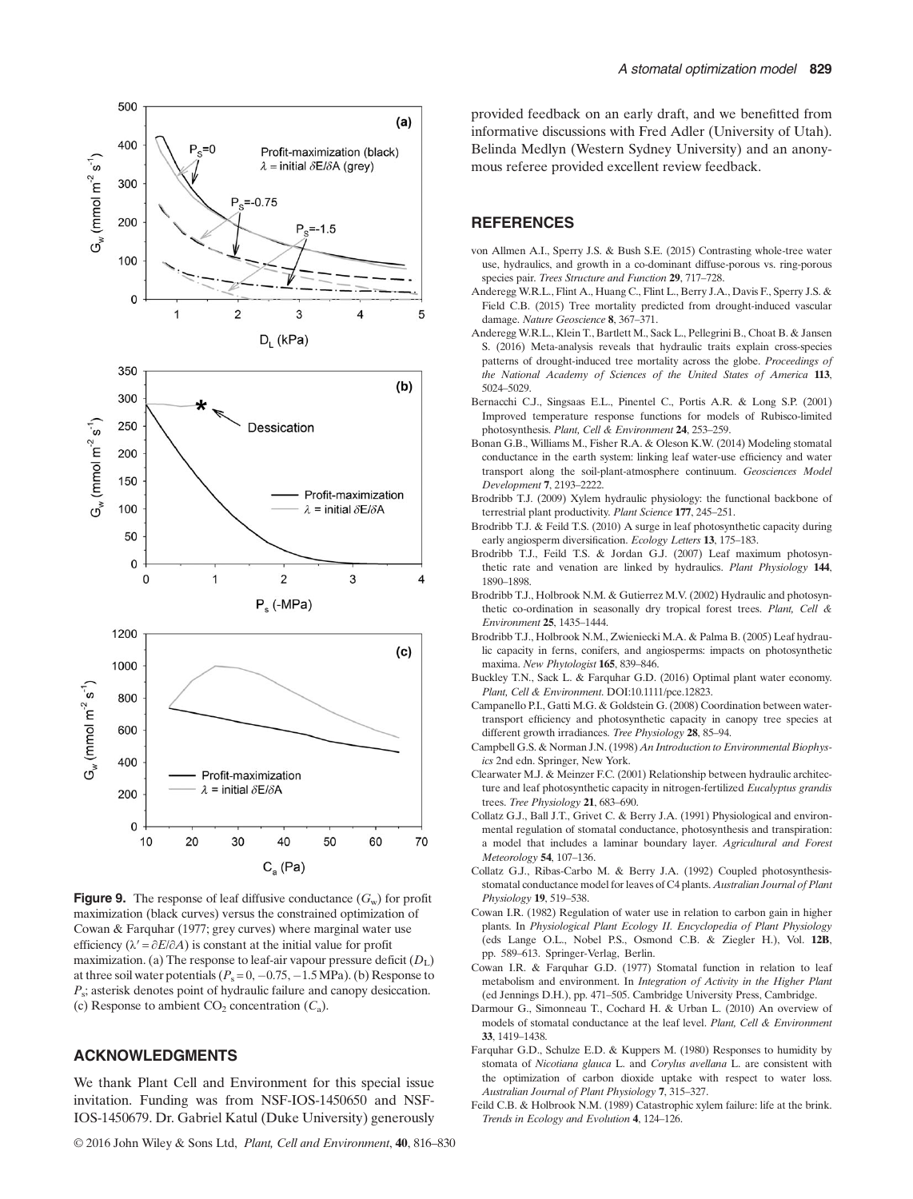



**Figure 9.** The response of leaf diffusive conductance  $(G_w)$  for profit maximization (black curves) versus the constrained optimization of Cowan & Farquhar (1977; grey curves) where marginal water use efficiency ( $\lambda' = \partial E / \partial A$ ) is constant at the initial value for profit maximization. (a) The response to leaf-air vapour pressure deficit  $(D<sub>L</sub>)$ at three soil water potentials ( $P_s = 0, -0.75, -1.5$  MPa). (b) Response to  $P_s$ ; asterisk denotes point of hydraulic failure and canopy desiccation. (c) Response to ambient  $CO_2$  concentration  $(C_a)$ .

# ACKNOWLEDGMENTS

We thank Plant Cell and Environment for this special issue invitation. Funding was from NSF-IOS-1450650 and NSF-IOS-1450679. Dr. Gabriel Katul (Duke University) generously provided feedback on an early draft, and we benefitted from informative discussions with Fred Adler (University of Utah). Belinda Medlyn (Western Sydney University) and an anonymous referee provided excellent review feedback.

# **REFERENCES**

- von Allmen A.I., Sperry J.S. & Bush S.E. (2015) Contrasting whole-tree water use, hydraulics, and growth in a co-dominant diffuse-porous vs. ring-porous species pair. Trees Structure and Function 29, 717–728.
- Anderegg W.R.L., Flint A., Huang C., Flint L., Berry J.A., Davis F., Sperry J.S. & Field C.B. (2015) Tree mortality predicted from drought-induced vascular damage. Nature Geoscience 8, 367–371.
- Anderegg W.R.L., Klein T. Bartlett M., Sack L., Pellegrini B., Choat B. & Jansen S. (2016) Meta-analysis reveals that hydraulic traits explain cross-species patterns of drought-induced tree mortality across the globe. Proceedings of the National Academy of Sciences of the United States of America 113, 5024–5029.
- Bernacchi C.J., Singsaas E.L., Pinentel C., Portis A.R. & Long S.P. (2001) Improved temperature response functions for models of Rubisco-limited photosynthesis. Plant, Cell & Environment 24, 253–259.
- Bonan G.B., Williams M., Fisher R.A. & Oleson K.W. (2014) Modeling stomatal conductance in the earth system: linking leaf water-use efficiency and water transport along the soil-plant-atmosphere continuum. Geosciences Model Development 7, 2193–2222.
- Brodribb T.J. (2009) Xylem hydraulic physiology: the functional backbone of terrestrial plant productivity. Plant Science 177, 245–251.
- Brodribb T.J. & Feild T.S. (2010) A surge in leaf photosynthetic capacity during early angiosperm diversification. Ecology Letters 13, 175–183.
- Brodribb T.J., Feild T.S. & Jordan G.J. (2007) Leaf maximum photosynthetic rate and venation are linked by hydraulics. Plant Physiology 144, 1890–1898.
- Brodribb T.J., Holbrook N.M. & Gutierrez M.V. (2002) Hydraulic and photosynthetic co-ordination in seasonally dry tropical forest trees. Plant, Cell & Environment 25, 1435–1444.
- Brodribb T.J., Holbrook N.M., Zwieniecki M.A. & Palma B. (2005) Leaf hydraulic capacity in ferns, conifers, and angiosperms: impacts on photosynthetic maxima. New Phytologist 165, 839–846.
- Buckley T.N., Sack L. & Farquhar G.D. (2016) Optimal plant water economy. Plant, Cell & Environment. DOI:[10.1111/pce.12823.](http://dx.doi.org/10.1111/pce.12823)
- Campanello P.I., Gatti M.G. & Goldstein G. (2008) Coordination between watertransport efficiency and photosynthetic capacity in canopy tree species at different growth irradiances. Tree Physiology 28, 85–94.
- Campbell G.S. & Norman J.N. (1998) An Introduction to Environmental Biophysics 2nd edn. Springer, New York.
- Clearwater M.J. & Meinzer F.C. (2001) Relationship between hydraulic architecture and leaf photosynthetic capacity in nitrogen-fertilized Eucalyptus grandis trees. Tree Physiology 21, 683–690.
- Collatz G.J., Ball J.T., Grivet C. & Berry J.A. (1991) Physiological and environmental regulation of stomatal conductance, photosynthesis and transpiration: a model that includes a laminar boundary layer. Agricultural and Forest Meteorology 54, 107–136.
- Collatz G.J., Ribas-Carbo M. & Berry J.A. (1992) Coupled photosynthesisstomatal conductance model for leaves of C4 plants. Australian Journal of Plant Physiology 19, 519–538.
- Cowan I.R. (1982) Regulation of water use in relation to carbon gain in higher plants. In Physiological Plant Ecology II. Encyclopedia of Plant Physiology (eds Lange O.L., Nobel P.S., Osmond C.B. & Ziegler H.), Vol. 12B, pp. 589–613. Springer-Verlag, Berlin.
- Cowan I.R. & Farquhar G.D. (1977) Stomatal function in relation to leaf metabolism and environment. In Integration of Activity in the Higher Plant (ed Jennings D.H.), pp. 471–505. Cambridge University Press, Cambridge.
- Darmour G., Simonneau T., Cochard H. & Urban L. (2010) An overview of models of stomatal conductance at the leaf level. Plant, Cell & Environment 33, 1419–1438.
- Farquhar G.D., Schulze E.D. & Kuppers M. (1980) Responses to humidity by stomata of Nicotiana glauca L. and Corylus avellana L. are consistent with the optimization of carbon dioxide uptake with respect to water loss. Australian Journal of Plant Physiology 7, 315–327.
- Feild C.B. & Holbrook N.M. (1989) Catastrophic xylem failure: life at the brink. Trends in Ecology and Evolution 4, 124–126.